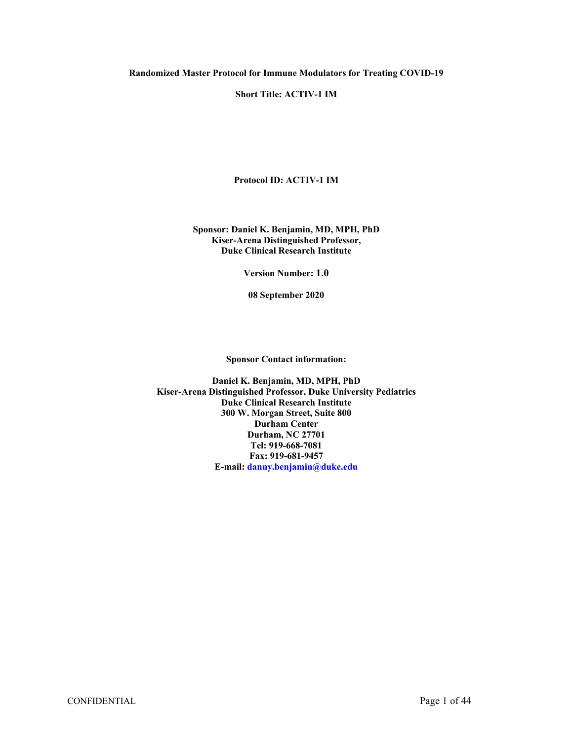#### **Short Title: ACTIV-1 IM**

**Protocol ID: ACTIV-1 IM**

#### **Sponsor: Daniel K. Benjamin, MD, MPH, PhD Kiser-Arena Distinguished Professor, Duke Clinical Research Institute**

**Version Number: 1.0**

**08 September 2020**

**Sponsor Contact information:**

**Daniel K. Benjamin, MD, MPH, PhD Kiser-Arena Distinguished Professor, Duke University Pediatrics Duke Clinical Research Institute 300 W. Morgan Street, Suite 800 Durham Center Durham, NC 27701 Tel: 919-668-7081 Fax: 919-681-9457 E-mail: [danny.benjamin@duke.edu](mailto:danny.benjamin@duke.edu)**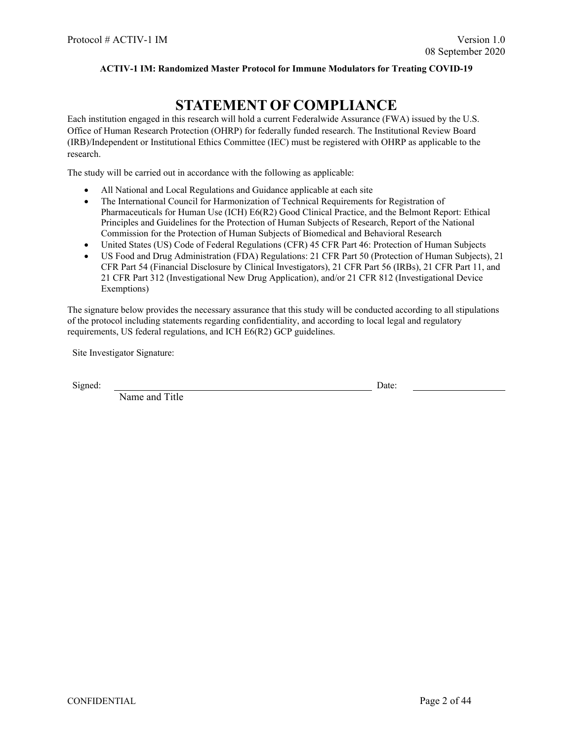# <span id="page-1-0"></span>**STATEMENT OF COMPLIANCE**

Each institution engaged in this research will hold a current Federalwide Assurance (FWA) issued by the U.S. Office of Human Research Protection (OHRP) for federally funded research. The Institutional Review Board (IRB)/Independent or Institutional Ethics Committee (IEC) must be registered with OHRP as applicable to the research.

The study will be carried out in accordance with the following as applicable:

- All National and Local Regulations and Guidance applicable at each site
- The International Council for Harmonization of Technical Requirements for Registration of Pharmaceuticals for Human Use (ICH) E6(R2) Good Clinical Practice, and the Belmont Report: Ethical Principles and Guidelines for the Protection of Human Subjects of Research, Report of the National Commission for the Protection of Human Subjects of Biomedical and Behavioral Research
- United States (US) Code of Federal Regulations (CFR) 45 CFR Part 46: Protection of Human Subjects
- US Food and Drug Administration (FDA) Regulations: 21 CFR Part 50 (Protection of Human Subjects), 21 CFR Part 54 (Financial Disclosure by Clinical Investigators), 21 CFR Part 56 (IRBs), 21 CFR Part 11, and 21 CFR Part 312 (Investigational New Drug Application), and/or 21 CFR 812 (Investigational Device Exemptions)

The signature below provides the necessary assurance that this study will be conducted according to all stipulations of the protocol including statements regarding confidentiality, and according to local legal and regulatory requirements, US federal regulations, and ICH E6(R2) GCP guidelines.

Site Investigator Signature:

Signed: Date:

Name and Title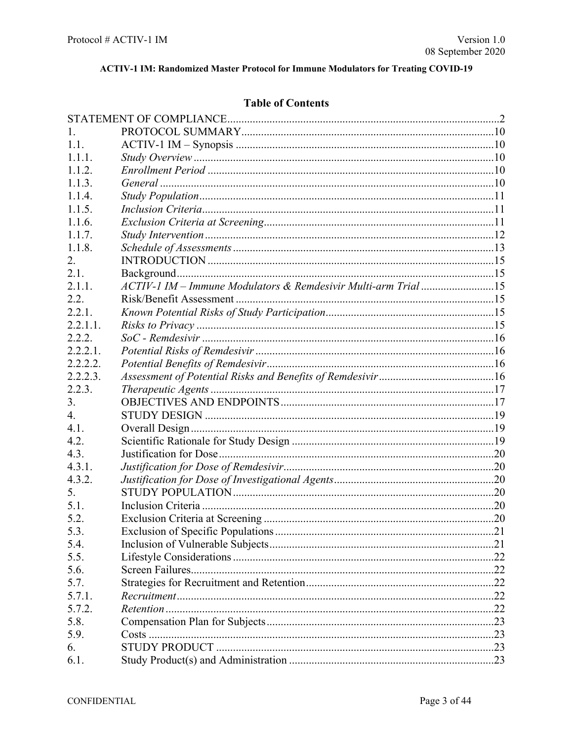## **Table of Contents**

| 1.       |                                                               |  |
|----------|---------------------------------------------------------------|--|
| 1.1.     |                                                               |  |
| 1.1.1.   |                                                               |  |
| 1.1.2.   |                                                               |  |
| 1.1.3.   |                                                               |  |
| 1.1.4.   |                                                               |  |
| 1.1.5.   |                                                               |  |
| 1.1.6.   |                                                               |  |
| 1.1.7.   |                                                               |  |
| 1.1.8.   |                                                               |  |
| 2.       |                                                               |  |
| 2.1.     |                                                               |  |
| 2.1.1.   | ACTIV-1 IM - Immune Modulators & Remdesivir Multi-arm Trial15 |  |
| 2.2.     |                                                               |  |
| 2.2.1.   |                                                               |  |
| 2.2.1.1. |                                                               |  |
| 2.2.2.   |                                                               |  |
| 2.2.2.1. |                                                               |  |
| 2.2.2.2. |                                                               |  |
| 2.2.2.3. |                                                               |  |
| 2.2.3.   |                                                               |  |
| 3.       |                                                               |  |
| 4.       |                                                               |  |
| 4.1.     |                                                               |  |
| 4.2.     |                                                               |  |
| 4.3.     |                                                               |  |
| 4.3.1.   |                                                               |  |
| 4.3.2.   |                                                               |  |
| 5.       |                                                               |  |
| 5.1.     |                                                               |  |
| 5.2.     |                                                               |  |
| 5.3.     |                                                               |  |
| 5.4.     |                                                               |  |
| 5.5.     |                                                               |  |
| 5.6.     |                                                               |  |
| 5.7.     |                                                               |  |
| 5.7.1.   |                                                               |  |
| 5.7.2.   |                                                               |  |
| 5.8.     |                                                               |  |
| 5.9.     |                                                               |  |
| 6.       |                                                               |  |
| 6.1.     |                                                               |  |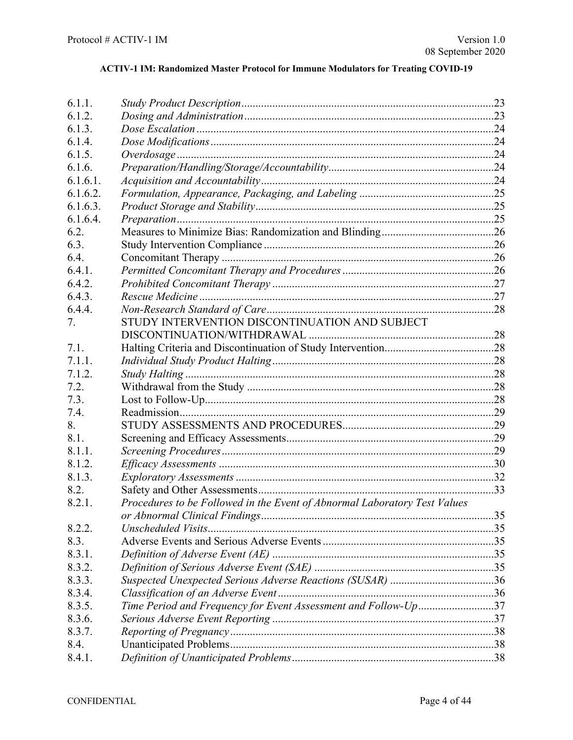| 6.1.1.   |                                                                           |  |
|----------|---------------------------------------------------------------------------|--|
| 6.1.2.   |                                                                           |  |
| 6.1.3.   |                                                                           |  |
| 6.1.4.   |                                                                           |  |
| 6.1.5.   |                                                                           |  |
| 6.1.6.   |                                                                           |  |
| 6.1.6.1. |                                                                           |  |
| 6.1.6.2. |                                                                           |  |
| 6.1.6.3. |                                                                           |  |
| 6.1.6.4. |                                                                           |  |
| 6.2.     |                                                                           |  |
| 6.3.     |                                                                           |  |
| 6.4.     |                                                                           |  |
| 6.4.1.   |                                                                           |  |
| 6.4.2.   |                                                                           |  |
| 6.4.3.   |                                                                           |  |
| 6.4.4.   |                                                                           |  |
| 7.       | STUDY INTERVENTION DISCONTINUATION AND SUBJECT                            |  |
|          |                                                                           |  |
| 7.1.     |                                                                           |  |
| 7.1.1.   |                                                                           |  |
| 7.1.2.   |                                                                           |  |
| 7.2.     |                                                                           |  |
| 7.3.     |                                                                           |  |
| 7.4.     |                                                                           |  |
| 8.       |                                                                           |  |
| 8.1.     |                                                                           |  |
| 8.1.1.   |                                                                           |  |
| 8.1.2.   |                                                                           |  |
| 8.1.3.   |                                                                           |  |
| 8.2.     |                                                                           |  |
| 8.2.1.   | Procedures to be Followed in the Event of Abnormal Laboratory Test Values |  |
|          |                                                                           |  |
| 8.2.2.   | Unscheduled Visits                                                        |  |
| 8.3.     |                                                                           |  |
| 8.3.1.   |                                                                           |  |
| 8.3.2.   |                                                                           |  |
| 8.3.3.   |                                                                           |  |
| 8.3.4.   |                                                                           |  |
| 8.3.5.   | Time Period and Frequency for Event Assessment and Follow-Up37            |  |
| 8.3.6.   |                                                                           |  |
| 8.3.7.   |                                                                           |  |
| 8.4.     |                                                                           |  |
| 8.4.1.   |                                                                           |  |
|          |                                                                           |  |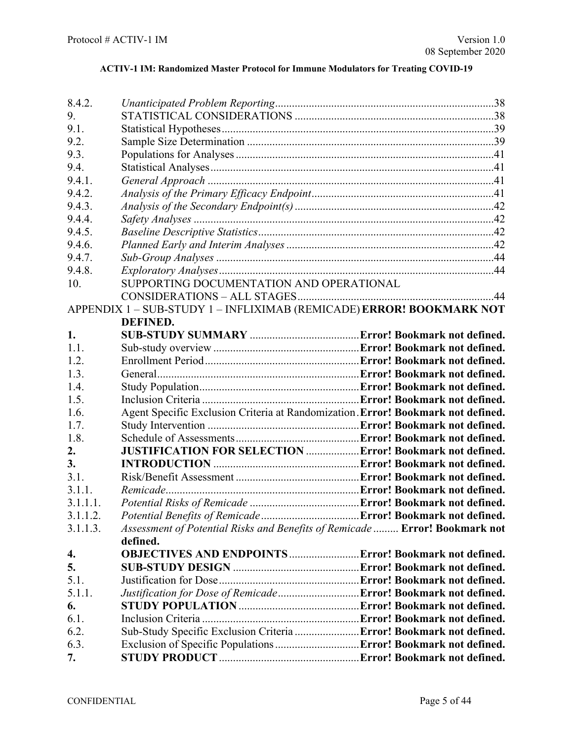| 8.4.2.   |                                                                                  |  |
|----------|----------------------------------------------------------------------------------|--|
| 9.       |                                                                                  |  |
| 9.1.     |                                                                                  |  |
| 9.2.     |                                                                                  |  |
| 9.3.     |                                                                                  |  |
| 9.4.     |                                                                                  |  |
| 9.4.1.   |                                                                                  |  |
| 9.4.2.   |                                                                                  |  |
| 9.4.3.   |                                                                                  |  |
| 9.4.4.   |                                                                                  |  |
| 9.4.5.   |                                                                                  |  |
| 9.4.6.   |                                                                                  |  |
| 9.4.7.   |                                                                                  |  |
| 9.4.8.   |                                                                                  |  |
| 10.      | SUPPORTING DOCUMENTATION AND OPERATIONAL                                         |  |
|          |                                                                                  |  |
|          | APPENDIX 1 - SUB-STUDY 1 - INFLIXIMAB (REMICADE) ERROR! BOOKMARK NOT             |  |
|          | <b>DEFINED.</b>                                                                  |  |
| 1.       |                                                                                  |  |
| 1.1.     |                                                                                  |  |
| 1.2.     |                                                                                  |  |
| 1.3.     |                                                                                  |  |
| 1.4.     |                                                                                  |  |
| 1.5.     |                                                                                  |  |
| 1.6.     | Agent Specific Exclusion Criteria at Randomization. Error! Bookmark not defined. |  |
| 1.7.     |                                                                                  |  |
| 1.8.     |                                                                                  |  |
| 2.       | <b>JUSTIFICATION FOR SELECTION  Error! Bookmark not defined.</b>                 |  |
| 3.       |                                                                                  |  |
| 3.1.     |                                                                                  |  |
| 3.1.1.   |                                                                                  |  |
| 3.1.1.1. |                                                                                  |  |
| 3.1.1.2. |                                                                                  |  |
| 3.1.1.3. | Assessment of Potential Risks and Benefits of Remicade  Error! Bookmark not      |  |
|          | defined.                                                                         |  |
| 4.       |                                                                                  |  |
| 5.       |                                                                                  |  |
| 5.1.     |                                                                                  |  |
| 5.1.1.   | Justification for Dose of Remicade Error! Bookmark not defined.                  |  |
| 6.       |                                                                                  |  |
| 6.1.     |                                                                                  |  |
| 6.2.     | Sub-Study Specific Exclusion Criteria  Error! Bookmark not defined.              |  |
| 6.3.     |                                                                                  |  |
| 7.       |                                                                                  |  |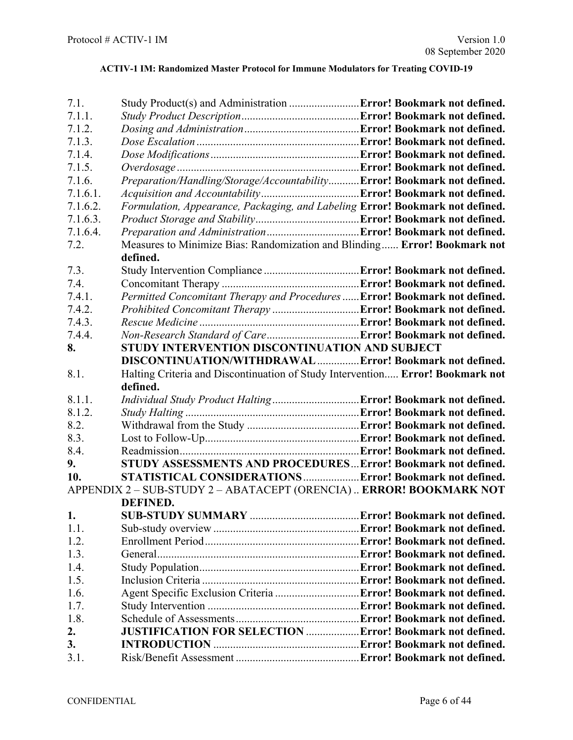| 7.1.     | Study Product(s) and Administration  Error! Bookmark not defined.              |  |
|----------|--------------------------------------------------------------------------------|--|
| 7.1.1.   |                                                                                |  |
| 7.1.2.   |                                                                                |  |
| 7.1.3.   |                                                                                |  |
| 7.1.4.   |                                                                                |  |
| 7.1.5.   |                                                                                |  |
| 7.1.6.   | Preparation/Handling/Storage/AccountabilityError! Bookmark not defined.        |  |
| 7.1.6.1. |                                                                                |  |
| 7.1.6.2. | Formulation, Appearance, Packaging, and Labeling Error! Bookmark not defined.  |  |
| 7.1.6.3. |                                                                                |  |
| 7.1.6.4. |                                                                                |  |
| 7.2.     | Measures to Minimize Bias: Randomization and Blinding Error! Bookmark not      |  |
|          | defined.                                                                       |  |
| 7.3.     |                                                                                |  |
| 7.4.     |                                                                                |  |
| 7.4.1.   | Permitted Concomitant Therapy and Procedures  Error! Bookmark not defined.     |  |
| 7.4.2.   |                                                                                |  |
| 7.4.3.   |                                                                                |  |
| 7.4.4.   |                                                                                |  |
| 8.       | STUDY INTERVENTION DISCONTINUATION AND SUBJECT                                 |  |
|          | DISCONTINUATION/WITHDRAWAL  Error! Bookmark not defined.                       |  |
| 8.1.     | Halting Criteria and Discontinuation of Study Intervention Error! Bookmark not |  |
|          | defined.                                                                       |  |
| 8.1.1.   |                                                                                |  |
| 8.1.2.   |                                                                                |  |
| 8.2.     |                                                                                |  |
| 8.3.     |                                                                                |  |
| 8.4.     |                                                                                |  |
| 9.       | STUDY ASSESSMENTS AND PROCEDURES Error! Bookmark not defined.                  |  |
| 10.      | STATISTICAL CONSIDERATIONS Error! Bookmark not defined.                        |  |
|          | APPENDIX 2 - SUB-STUDY 2 - ABATACEPT (ORENCIA)  ERROR! BOOKMARK NOT            |  |
|          | <b>DEFINED.</b>                                                                |  |
| 1.       |                                                                                |  |
| 1.1.     |                                                                                |  |
| 1.2.     |                                                                                |  |
| 1.3.     |                                                                                |  |
| 1.4.     |                                                                                |  |
| 1.5.     |                                                                                |  |
| 1.6.     |                                                                                |  |
| 1.7.     |                                                                                |  |
| 1.8.     |                                                                                |  |
|          |                                                                                |  |
| 2.       | <b>JUSTIFICATION FOR SELECTION  Error! Bookmark not defined.</b>               |  |
| 3.       |                                                                                |  |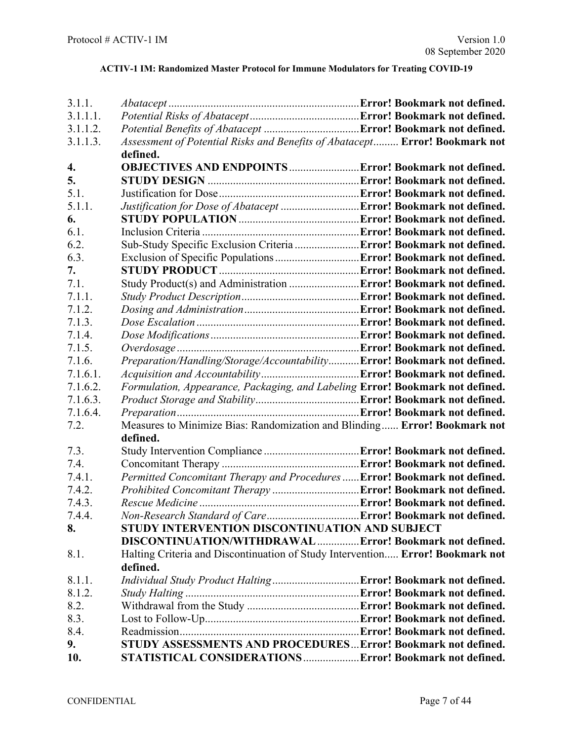| 3.1.1.   |                                                                                |  |
|----------|--------------------------------------------------------------------------------|--|
| 3.1.1.1. |                                                                                |  |
| 3.1.1.2. |                                                                                |  |
| 3.1.1.3. | Assessment of Potential Risks and Benefits of Abatacept Error! Bookmark not    |  |
|          | defined.                                                                       |  |
| 4.       |                                                                                |  |
| 5.       |                                                                                |  |
| 5.1.     |                                                                                |  |
| 5.1.1.   | Justification for Dose of Abatacept  Error! Bookmark not defined.              |  |
| 6.       |                                                                                |  |
| 6.1.     |                                                                                |  |
| 6.2.     | Sub-Study Specific Exclusion Criteria  Error! Bookmark not defined.            |  |
| 6.3.     |                                                                                |  |
| 7.       |                                                                                |  |
| 7.1.     |                                                                                |  |
| 7.1.1.   |                                                                                |  |
| 7.1.2.   |                                                                                |  |
| 7.1.3.   |                                                                                |  |
| 7.1.4.   |                                                                                |  |
| 7.1.5.   |                                                                                |  |
| 7.1.6.   | Preparation/Handling/Storage/AccountabilityError! Bookmark not defined.        |  |
| 7.1.6.1. |                                                                                |  |
| 7.1.6.2. | Formulation, Appearance, Packaging, and Labeling Error! Bookmark not defined.  |  |
| 7.1.6.3. |                                                                                |  |
| 7.1.6.4. |                                                                                |  |
| 7.2.     | Measures to Minimize Bias: Randomization and Blinding Error! Bookmark not      |  |
|          | defined.                                                                       |  |
| 7.3.     |                                                                                |  |
| 7.4.     |                                                                                |  |
| 7.4.1.   | Permitted Concomitant Therapy and Procedures  Error! Bookmark not defined.     |  |
| 7.4.2.   |                                                                                |  |
| 7.4.3.   |                                                                                |  |
| 7.4.4.   |                                                                                |  |
| 8.       | STUDY INTERVENTION DISCONTINUATION AND SUBJECT                                 |  |
|          | DISCONTINUATION/WITHDRAWALError! Bookmark not defined.                         |  |
| 8.1.     | Halting Criteria and Discontinuation of Study Intervention Error! Bookmark not |  |
|          | defined.                                                                       |  |
| 8.1.1.   |                                                                                |  |
| 8.1.2.   |                                                                                |  |
| 8.2.     |                                                                                |  |
| 8.3.     |                                                                                |  |
| 8.4.     |                                                                                |  |
| 9.       | STUDY ASSESSMENTS AND PROCEDURES Error! Bookmark not defined.                  |  |
| 10.      | STATISTICAL CONSIDERATIONS Error! Bookmark not defined.                        |  |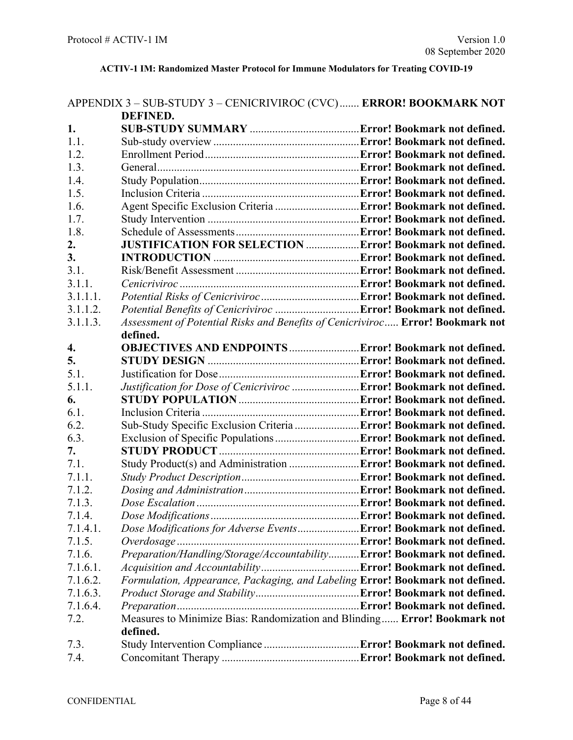# APPENDIX 3 – SUB-STUDY 3 – CENICRIVIROC (CVC)....... **ERROR! BOOKMARK NOT**

|          | <b>DEFINED.</b>                                                                |  |
|----------|--------------------------------------------------------------------------------|--|
| 1.       |                                                                                |  |
| 1.1.     |                                                                                |  |
| 1.2.     |                                                                                |  |
| 1.3.     |                                                                                |  |
| 1.4.     |                                                                                |  |
| 1.5.     |                                                                                |  |
| 1.6.     |                                                                                |  |
| 1.7.     |                                                                                |  |
| 1.8.     |                                                                                |  |
| 2.       | <b>JUSTIFICATION FOR SELECTION  Error! Bookmark not defined.</b>               |  |
| 3.       |                                                                                |  |
| 3.1.     |                                                                                |  |
| 3.1.1.   |                                                                                |  |
| 3.1.1.1. |                                                                                |  |
| 3.1.1.2. |                                                                                |  |
| 3.1.1.3. | Assessment of Potential Risks and Benefits of Cenicriviroc Error! Bookmark not |  |
|          | defined.                                                                       |  |
| 4.       | <b>OBJECTIVES AND ENDPOINTS  Error! Bookmark not defined.</b>                  |  |
| 5.       |                                                                                |  |
| 5.1.     |                                                                                |  |
| 5.1.1.   | Justification for Dose of Cenicriviroc  Error! Bookmark not defined.           |  |
| 6.       |                                                                                |  |
| 6.1.     |                                                                                |  |
| 6.2.     | Sub-Study Specific Exclusion Criteria  Error! Bookmark not defined.            |  |
| 6.3.     |                                                                                |  |
| 7.       |                                                                                |  |
| 7.1.     | Study Product(s) and Administration  Error! Bookmark not defined.              |  |
| 7.1.1.   |                                                                                |  |
| 7.1.2.   |                                                                                |  |
| 7.1.3.   |                                                                                |  |
| 7.1.4.   |                                                                                |  |
| 7.1.4.1  | Dose Modifications for Adverse Events <b>Error! Bookmark not defined.</b>      |  |
| 7.1.5.   |                                                                                |  |
| 7.1.6.   | Preparation/Handling/Storage/AccountabilityError! Bookmark not defined.        |  |
| 7.1.6.1. |                                                                                |  |
| 7.1.6.2. | Formulation, Appearance, Packaging, and Labeling Error! Bookmark not defined.  |  |
| 7.1.6.3. |                                                                                |  |
| 7.1.6.4. |                                                                                |  |
| 7.2.     | Measures to Minimize Bias: Randomization and Blinding Error! Bookmark not      |  |
|          | defined.                                                                       |  |
| 7.3.     |                                                                                |  |
| 7.4.     |                                                                                |  |
|          |                                                                                |  |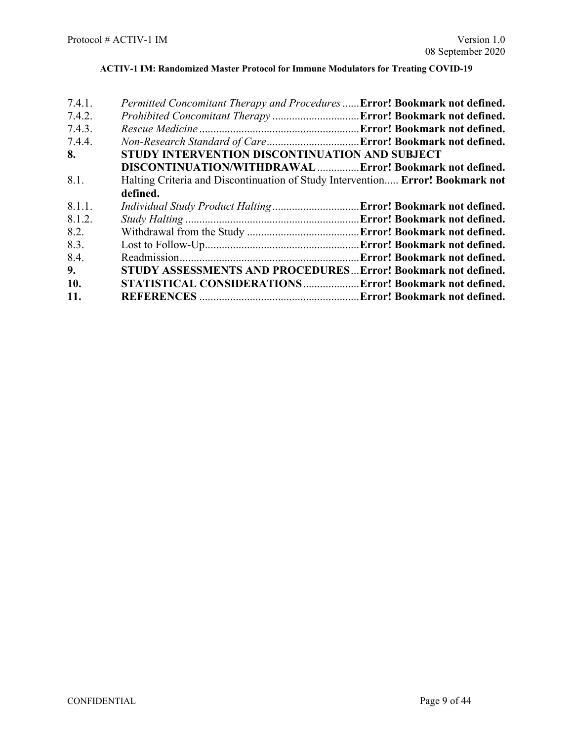| 7.4.1. | Permitted Concomitant Therapy and Procedures  Error! Bookmark not defined.     |                              |
|--------|--------------------------------------------------------------------------------|------------------------------|
| 7.4.2. |                                                                                |                              |
| 7.4.3. |                                                                                |                              |
| 7.4.4. |                                                                                |                              |
| 8.     | STUDY INTERVENTION DISCONTINUATION AND SUBJECT                                 |                              |
|        | DISCONTINUATION/WITHDRAWALError! Bookmark not defined.                         |                              |
| 8.1.   | Halting Criteria and Discontinuation of Study Intervention Error! Bookmark not |                              |
|        | defined.                                                                       |                              |
| 8.1.1. |                                                                                |                              |
| 8.1.2. |                                                                                |                              |
| 8.2.   |                                                                                |                              |
| 8.3.   |                                                                                |                              |
| 8.4.   |                                                                                | Error! Bookmark not defined. |
| 9.     | <b>STUDY ASSESSMENTS AND PROCEDURES Error! Bookmark not defined.</b>           |                              |
| 10.    | STATISTICAL CONSIDERATIONS Error! Bookmark not defined.                        |                              |
| 11.    |                                                                                |                              |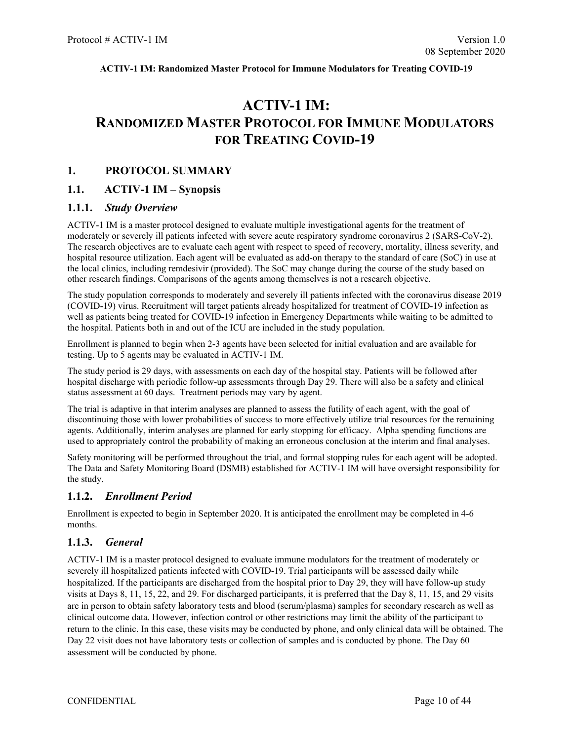# **ACTIV-1 IM: RANDOMIZED MASTER PROTOCOL FOR IMMUNE MODULATORS FOR TREATING COVID-19**

#### <span id="page-9-0"></span>**1. PROTOCOL SUMMARY**

### <span id="page-9-1"></span>**1.1. ACTIV-1 IM – Synopsis**

#### <span id="page-9-2"></span>**1.1.1.** *Study Overview*

ACTIV-1 IM is a master protocol designed to evaluate multiple investigational agents for the treatment of moderately or severely ill patients infected with severe acute respiratory syndrome coronavirus 2 (SARS-CoV-2). The research objectives are to evaluate each agent with respect to speed of recovery, mortality, illness severity, and hospital resource utilization. Each agent will be evaluated as add-on therapy to the standard of care (SoC) in use at the local clinics, including remdesivir (provided). The SoC may change during the course of the study based on other research findings. Comparisons of the agents among themselves is not a research objective.

The study population corresponds to moderately and severely ill patients infected with the coronavirus disease 2019 (COVID-19) virus. Recruitment will target patients already hospitalized for treatment of COVID-19 infection as well as patients being treated for COVID-19 infection in Emergency Departments while waiting to be admitted to the hospital. Patients both in and out of the ICU are included in the study population.

Enrollment is planned to begin when 2-3 agents have been selected for initial evaluation and are available for testing. Up to 5 agents may be evaluated in ACTIV-1 IM.

The study period is 29 days, with assessments on each day of the hospital stay. Patients will be followed after hospital discharge with periodic follow-up assessments through Day 29. There will also be a safety and clinical status assessment at 60 days. Treatment periods may vary by agent.

The trial is adaptive in that interim analyses are planned to assess the futility of each agent, with the goal of discontinuing those with lower probabilities of success to more effectively utilize trial resources for the remaining agents. Additionally, interim analyses are planned for early stopping for efficacy. Alpha spending functions are used to appropriately control the probability of making an erroneous conclusion at the interim and final analyses.

Safety monitoring will be performed throughout the trial, and formal stopping rules for each agent will be adopted. The Data and Safety Monitoring Board (DSMB) established for ACTIV-1 IM will have oversight responsibility for the study.

#### <span id="page-9-3"></span>**1.1.2.** *Enrollment Period*

Enrollment is expected to begin in September 2020. It is anticipated the enrollment may be completed in 4-6 months.

## <span id="page-9-4"></span>**1.1.3.** *General*

ACTIV-1 IM is a master protocol designed to evaluate immune modulators for the treatment of moderately or severely ill hospitalized patients infected with COVID-19. Trial participants will be assessed daily while hospitalized. If the participants are discharged from the hospital prior to Day 29, they will have follow-up study visits at Days 8, 11, 15, 22, and 29. For discharged participants, it is preferred that the Day 8, 11, 15, and 29 visits are in person to obtain safety laboratory tests and blood (serum/plasma) samples for secondary research as well as clinical outcome data. However, infection control or other restrictions may limit the ability of the participant to return to the clinic. In this case, these visits may be conducted by phone, and only clinical data will be obtained. The Day 22 visit does not have laboratory tests or collection of samples and is conducted by phone. The Day 60 assessment will be conducted by phone.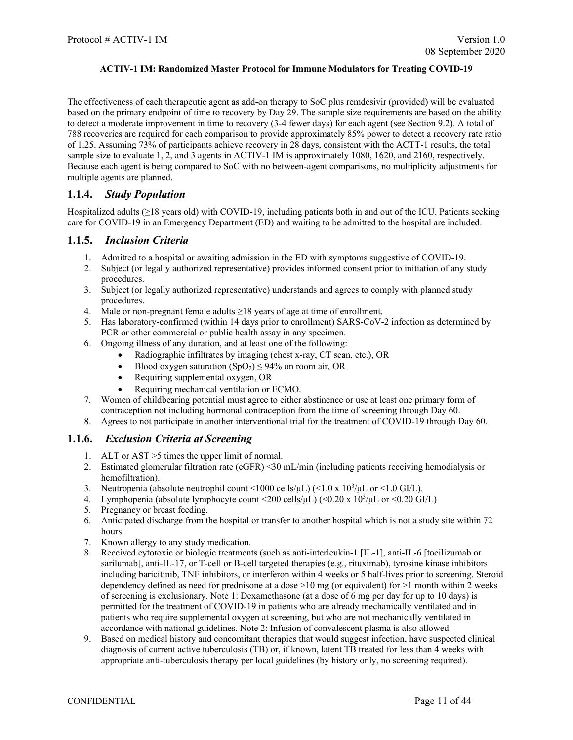The effectiveness of each therapeutic agent as add-on therapy to SoC plus remdesivir (provided) will be evaluated based on the primary endpoint of time to recovery by Day 29. The sample size requirements are based on the ability to detect a moderate improvement in time to recovery (3-4 fewer days) for each agent (see Section 9.2). A total of 788 recoveries are required for each comparison to provide approximately 85% power to detect a recovery rate ratio of 1.25. Assuming 73% of participants achieve recovery in 28 days, consistent with the ACTT-1 results, the total sample size to evaluate 1, 2, and 3 agents in ACTIV-1 IM is approximately 1080, 1620, and 2160, respectively. Because each agent is being compared to SoC with no between-agent comparisons, no multiplicity adjustments for multiple agents are planned.

## <span id="page-10-0"></span>**1.1.4.** *Study Population*

Hospitalized adults (≥18 years old) with COVID-19, including patients both in and out of the ICU. Patients seeking care for COVID-19 in an Emergency Department (ED) and waiting to be admitted to the hospital are included.

## <span id="page-10-1"></span>**1.1.5.** *Inclusion Criteria*

- 1. Admitted to a hospital or awaiting admission in the ED with symptoms suggestive of COVID-19.
- 2. Subject (or legally authorized representative) provides informed consent prior to initiation of any study procedures.
- 3. Subject (or legally authorized representative) understands and agrees to comply with planned study procedures.
- 4. Male or non-pregnant female adults  $\geq$ 18 years of age at time of enrollment.
- 5. Has laboratory-confirmed (within 14 days prior to enrollment) SARS-CoV-2 infection as determined by PCR or other commercial or public health assay in any specimen.
- 6. Ongoing illness of any duration, and at least one of the following:
	- Radiographic infiltrates by imaging (chest x-ray, CT scan, etc.), OR
	- Blood oxygen saturation  $(SpO<sub>2</sub>) \le 94\%$  on room air, OR
	- Requiring supplemental oxygen, OR
	- Requiring mechanical ventilation or ECMO.
- 7. Women of childbearing potential must agree to either abstinence or use at least one primary form of contraception not including hormonal contraception from the time of screening through Day 60.
- 8. Agrees to not participate in another interventional trial for the treatment of COVID-19 through Day 60.

## <span id="page-10-2"></span>**1.1.6.** *Exclusion Criteria at Screening*

- 1. ALT or AST >5 times the upper limit of normal.
- 2. Estimated glomerular filtration rate (eGFR) <30 mL/min (including patients receiving hemodialysis or hemofiltration).
- 3. Neutropenia (absolute neutrophil count <1000 cells/ $\mu$ L) (<1.0 x 10<sup>3</sup>/ $\mu$ L or <1.0 GI/L).
- 4. Lymphopenia (absolute lymphocyte count <200 cells/ $\mu$ L) (<0.20 x 10<sup>3</sup>/ $\mu$ L or <0.20 GI/L)
- 5. Pregnancy or breast feeding.
- 6. Anticipated discharge from the hospital or transfer to another hospital which is not a study site within 72 hours.
- 7. Known allergy to any study medication.
- 8. Received cytotoxic or biologic treatments (such as anti-interleukin-1 [IL-1], anti-IL-6 [tocilizumab or sarilumab], anti-IL-17, or T-cell or B-cell targeted therapies (e.g., rituximab), tyrosine kinase inhibitors including baricitinib, TNF inhibitors, or interferon within 4 weeks or 5 half-lives prior to screening. Steroid dependency defined as need for prednisone at a dose  $>10$  mg (or equivalent) for  $>1$  month within 2 weeks of screening is exclusionary. Note 1: Dexamethasone (at a dose of 6 mg per day for up to 10 days) is permitted for the treatment of COVID-19 in patients who are already mechanically ventilated and in patients who require supplemental oxygen at screening, but who are not mechanically ventilated in accordance with national guidelines. Note 2: Infusion of convalescent plasma is also allowed.
- 9. Based on medical history and concomitant therapies that would suggest infection, have suspected clinical diagnosis of current active tuberculosis (TB) or, if known, latent TB treated for less than 4 weeks with appropriate anti-tuberculosis therapy per local guidelines (by history only, no screening required).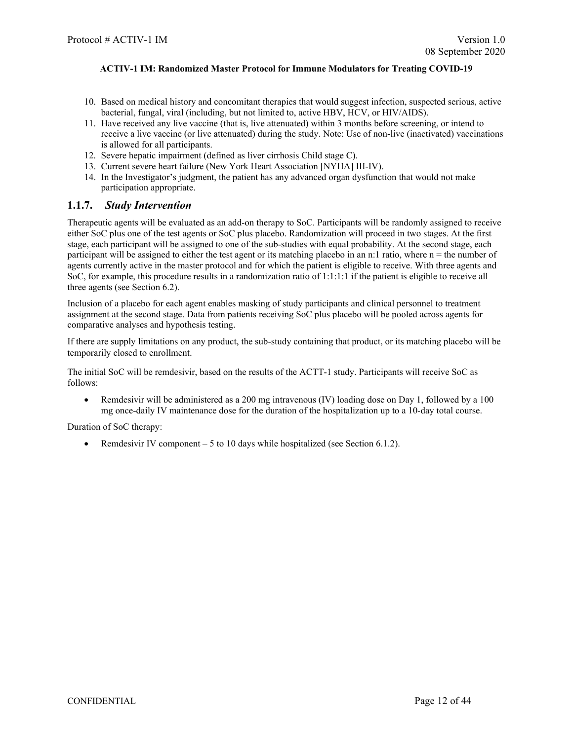- 10. Based on medical history and concomitant therapies that would suggest infection, suspected serious, active bacterial, fungal, viral (including, but not limited to, active HBV, HCV, or HIV/AIDS).
- 11. Have received any live vaccine (that is, live attenuated) within 3 months before screening, or intend to receive a live vaccine (or live attenuated) during the study. Note: Use of non-live (inactivated) vaccinations is allowed for all participants.
- 12. Severe hepatic impairment (defined as liver cirrhosis Child stage C).
- 13. Current severe heart failure (New York Heart Association [NYHA] III-IV).
- 14. In the Investigator's judgment, the patient has any advanced organ dysfunction that would not make participation appropriate.

### <span id="page-11-0"></span>**1.1.7.** *Study Intervention*

Therapeutic agents will be evaluated as an add-on therapy to SoC. Participants will be randomly assigned to receive either SoC plus one of the test agents or SoC plus placebo. Randomization will proceed in two stages. At the first stage, each participant will be assigned to one of the sub-studies with equal probability. At the second stage, each participant will be assigned to either the test agent or its matching placebo in an n:1 ratio, where  $n =$  the number of agents currently active in the master protocol and for which the patient is eligible to receive. With three agents and SoC, for example, this procedure results in a randomization ratio of 1:1:1:1 if the patient is eligible to receive all three agents (see Section 6.2).

Inclusion of a placebo for each agent enables masking of study participants and clinical personnel to treatment assignment at the second stage. Data from patients receiving SoC plus placebo will be pooled across agents for comparative analyses and hypothesis testing.

If there are supply limitations on any product, the sub-study containing that product, or its matching placebo will be temporarily closed to enrollment.

The initial SoC will be remdesivir, based on the results of the ACTT-1 study. Participants will receive SoC as follows:

• Remdesivir will be administered as a 200 mg intravenous (IV) loading dose on Day 1, followed by a 100 mg once-daily IV maintenance dose for the duration of the hospitalization up to a 10-day total course.

Duration of SoC therapy:

• Remdesivir IV component  $-5$  to 10 days while hospitalized (see Section 6.1.2).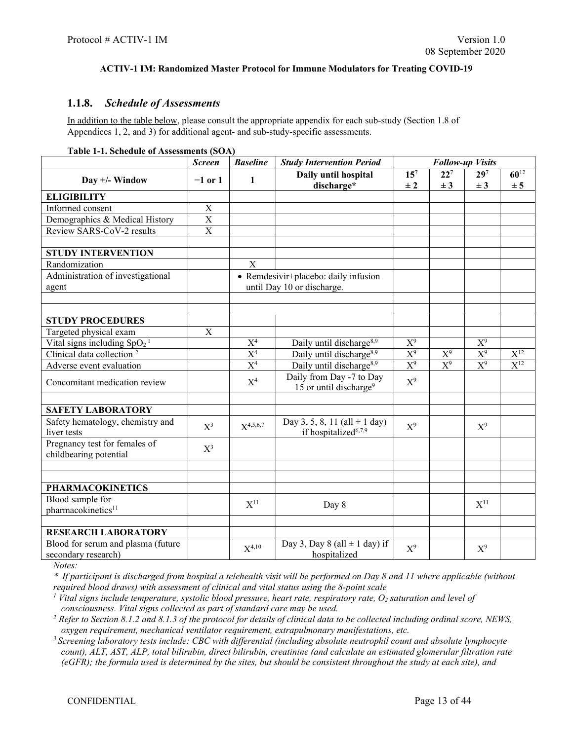## <span id="page-12-0"></span>**1.1.8.** *Schedule of Assessments*

In addition to the table below, please consult the appropriate appendix for each sub-study (Section 1.8 of Appendices 1, 2, and 3) for additional agent- and sub-study-specific assessments.

|  | Table 1-1. Schedule of Assessments (SOA) |  |
|--|------------------------------------------|--|
|--|------------------------------------------|--|

|                                                           | <b>Screen</b> | <b>Baseline</b>   | <b>Study Intervention Period</b>                                      |                            |                     | <b>Follow-up Visits</b>    |                  |
|-----------------------------------------------------------|---------------|-------------------|-----------------------------------------------------------------------|----------------------------|---------------------|----------------------------|------------------|
| Day $+/-$ Window                                          | $-1$ or 1     | 1                 | Daily until hospital<br>discharge*                                    | 15 <sup>7</sup><br>$\pm 2$ | $22^{7}$<br>$\pm 3$ | 29 <sup>7</sup><br>$\pm 3$ | $60^{12}$<br>± 5 |
| <b>ELIGIBILITY</b>                                        |               |                   |                                                                       |                            |                     |                            |                  |
| Informed consent                                          | X             |                   |                                                                       |                            |                     |                            |                  |
| Demographics & Medical History                            | $\mathbf X$   |                   |                                                                       |                            |                     |                            |                  |
| Review SARS-CoV-2 results                                 | X             |                   |                                                                       |                            |                     |                            |                  |
| <b>STUDY INTERVENTION</b>                                 |               |                   |                                                                       |                            |                     |                            |                  |
| Randomization                                             |               | X                 |                                                                       |                            |                     |                            |                  |
| Administration of investigational<br>agent                |               |                   | • Remdesivir+placebo: daily infusion<br>until Day 10 or discharge.    |                            |                     |                            |                  |
|                                                           |               |                   |                                                                       |                            |                     |                            |                  |
| <b>STUDY PROCEDURES</b>                                   |               |                   |                                                                       |                            |                     |                            |                  |
| Targeted physical exam                                    | $\mathbf X$   |                   |                                                                       |                            |                     |                            |                  |
| Vital signs including $SpO21$                             |               | X <sup>4</sup>    | Daily until discharge <sup>8,9</sup>                                  | $X^9$                      |                     | $X^9$                      |                  |
| Clinical data collection <sup>2</sup>                     |               | $\overline{X^4}$  | Daily until discharge <sup>8,9</sup>                                  | $\overline{X^9}$           | $X^9$               | $X^9$                      | $X^{12}$         |
| Adverse event evaluation                                  |               | $\overline{X^4}$  | Daily until discharge <sup>8,9</sup>                                  | $X^9$                      | $X^9$               | $X^9$                      | $X^{12}$         |
| Concomitant medication review                             |               | $X^4$             | Daily from Day -7 to Day<br>15 or until discharge <sup>9</sup>        | $X^9$                      |                     |                            |                  |
|                                                           |               |                   |                                                                       |                            |                     |                            |                  |
| <b>SAFETY LABORATORY</b>                                  |               |                   |                                                                       |                            |                     |                            |                  |
| Safety hematology, chemistry and<br>liver tests           | $X^3$         | $X^{4,5,6,7}$     | Day 3, 5, 8, 11 (all $\pm$ 1 day)<br>if hospitalized <sup>6,7,9</sup> | $X^9$                      |                     | $X^9$                      |                  |
| Pregnancy test for females of<br>childbearing potential   | $X^3$         |                   |                                                                       |                            |                     |                            |                  |
|                                                           |               |                   |                                                                       |                            |                     |                            |                  |
| <b>PHARMACOKINETICS</b>                                   |               |                   |                                                                       |                            |                     |                            |                  |
| Blood sample for<br>pharmacokinetics <sup>11</sup>        |               | $\mathrm{X}^{11}$ | Day 8                                                                 |                            |                     | $\mathrm{X}^{11}$          |                  |
| <b>RESEARCH LABORATORY</b>                                |               |                   |                                                                       |                            |                     |                            |                  |
| Blood for serum and plasma (future<br>secondary research) |               | $X^{4,10}$        | Day 3, Day 8 (all $\pm$ 1 day) if<br>hospitalized                     | $X^9$                      |                     | $X^9$                      |                  |

*Notes:*

*\* If participant is discharged from hospital a telehealth visit will be performed on Day 8 and 11 where applicable (without required blood draws) with assessment of clinical and vital status using the 8-point scale*

 $<sup>1</sup>$  Vital signs include temperature, systolic blood pressure, heart rate, respiratory rate,  $O_2$  saturation and level of</sup>

consciousness. Vital signs collected as part of standard care may be used.<br><sup>2</sup> Refer to Section [8.1.2](#page-29-0) and 8.1.3 of the protocol for details of clinical data to be collected including ordinal score, NEWS, *oxygen requirement, mechanical ventilator requirement, extrapulmonary manifestations, etc.*

*3 Screening laboratory tests include: CBC with differential (including absolute neutrophil count and absolute lymphocyte count), ALT, AST, ALP, total bilirubin, direct bilirubin, creatinine (and calculate an estimated glomerular filtration rate (eGFR); the formula used is determined by the sites, but should be consistent throughout the study at each site), and*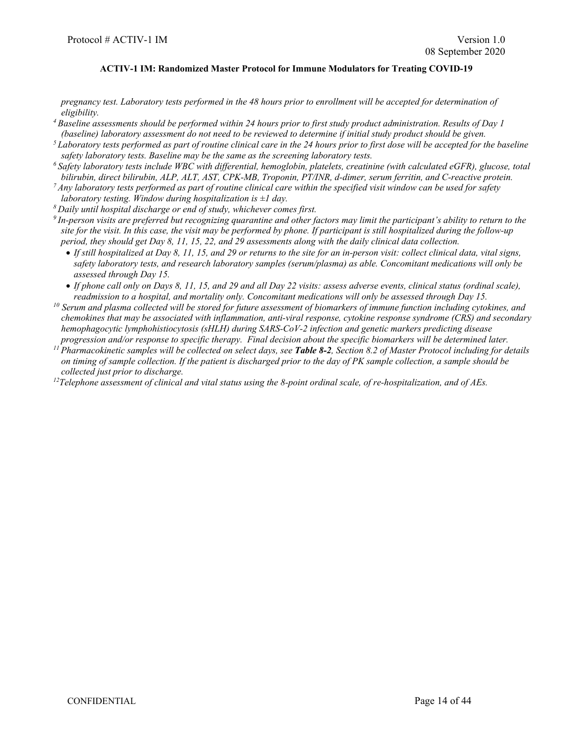*pregnancy test. Laboratory tests performed in the 48 hours prior to enrollment will be accepted for determination of eligibility.*

- *4 Baseline assessments should be performed within 24 hours prior to first study product administration. Results of Day 1 (baseline) laboratory assessment do not need to be reviewed to determine if initial study product should be given.*
- *5 Laboratory tests performed as part of routine clinical care in the 24 hours prior to first dose will be accepted for the baseline*  safety laboratory tests. Baseline may be the same as the screening laboratory tests.<br><sup>6</sup> Safety laboratory tests include WBC with differential, hemoglobin, platelets, creatinine (with calculated eGFR), glucose, total
- *bilirubin, direct bilirubin, ALP, ALT, AST, CPK-MB, Troponin, PT/INR, d-dimer, serum ferritin, and C-reactive protein.*
- *7 Any laboratory tests performed as part of routine clinical care within the specified visit window can be used for safety laboratory testing. Window during hospitalization is ±1 day.*
- *8 Daily until hospital discharge or end of study, whichever comes first.*
- *9 In-person visits are preferred but recognizing quarantine and other factors may limit the participant's ability to return to the site for the visit. In this case, the visit may be performed by phone. If participant is still hospitalized during the follow-up period, they should get Day 8, 11, 15, 22, and 29 assessments along with the daily clinical data collection.*
	- *If still hospitalized at Day 8, 11, 15, and 29 or returns to the site for an in-person visit: collect clinical data, vital signs, safety laboratory tests, and research laboratory samples (serum/plasma) as able. Concomitant medications will only be assessed through Day 15.*
	- *If phone call only on Days 8, 11, 15, and 29 and all Day 22 visits: assess adverse events, clinical status (ordinal scale), readmission to a hospital, and mortality only. Concomitant medications will only be assessed through Day 15.*
- *<sup>10</sup> Serum and plasma collected will be stored for future assessment of biomarkers of immune function including cytokines, and chemokines that may be associated with inflammation, anti-viral response, cytokine response syndrome (CRS) and secondary hemophagocytic lymphohistiocytosis (sHLH) during SARS-CoV-2 infection and genetic markers predicting disease progression and/or response to specific therapy. Final decision about the specific biomarkers will be determined later.*
- *<sup>11</sup> Pharmacokinetic samples will be collected on select days, see Table 8-2, Section 8.2 of Master Protocol including for details on timing of sample collection. If the patient is discharged prior to the day of PK sample collection, a sample should be collected just prior to discharge.*

*12 Telephone assessment of clinical and vital status using the 8-point ordinal scale, of re-hospitalization, and of AEs.*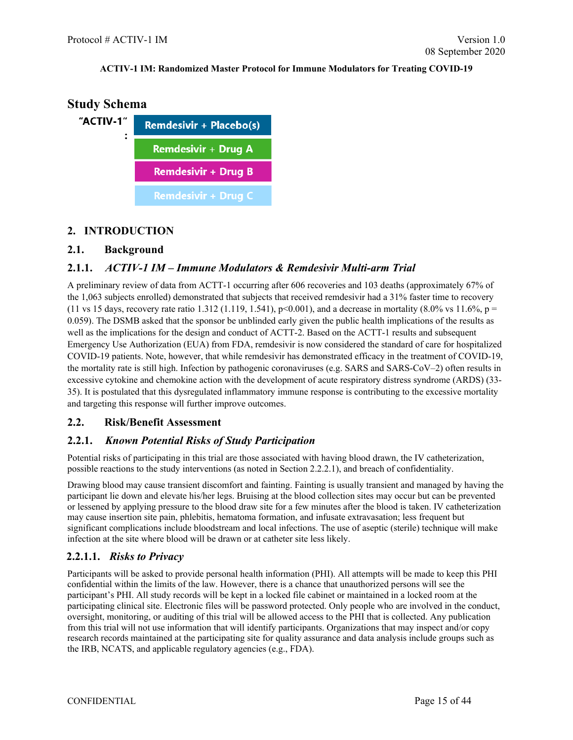

## <span id="page-14-0"></span>**2. INTRODUCTION**

## <span id="page-14-1"></span>**2.1. Background**

## <span id="page-14-2"></span>**2.1.1.** *ACTIV-1 IM – Immune Modulators & Remdesivir Multi-arm Trial*

A preliminary review of data from ACTT-1 occurring after 606 recoveries and 103 deaths (approximately 67% of the 1,063 subjects enrolled) demonstrated that subjects that received remdesivir had a 31% faster time to recovery (11 vs 15 days, recovery rate ratio 1.312 (1.119, 1.541),  $p$ <0.001), and a decrease in mortality (8.0% vs 11.6%,  $p =$ 0.059). The DSMB asked that the sponsor be unblinded early given the public health implications of the results as well as the implications for the design and conduct of ACTT-2. Based on the ACTT-1 results and subsequent Emergency Use Authorization (EUA) from FDA, remdesivir is now considered the standard of care for hospitalized COVID-19 patients. Note, however, that while remdesivir has demonstrated efficacy in the treatment of COVID-19, the mortality rate is still high. Infection by pathogenic coronaviruses (e.g. SARS and SARS-CoV–2) often results in excessive cytokine and chemokine action with the development of acute respiratory distress syndrome (ARDS) (33- 35). It is postulated that this dysregulated inflammatory immune response is contributing to the excessive mortality and targeting this response will further improve outcomes.

## <span id="page-14-3"></span>**2.2. Risk/Benefit Assessment**

## <span id="page-14-4"></span>**2.2.1.** *Known Potential Risks of Study Participation*

Potential risks of participating in this trial are those associated with having blood drawn, the IV catheterization, possible reactions to the study interventions (as noted in Section 2.2.2.1), and breach of confidentiality.

Drawing blood may cause transient discomfort and fainting. Fainting is usually transient and managed by having the participant lie down and elevate his/her legs. Bruising at the blood collection sites may occur but can be prevented or lessened by applying pressure to the blood draw site for a few minutes after the blood is taken. IV catheterization may cause insertion site pain, phlebitis, hematoma formation, and infusate extravasation; less frequent but significant complications include bloodstream and local infections. The use of aseptic (sterile) technique will make infection at the site where blood will be drawn or at catheter site less likely.

## <span id="page-14-5"></span>**2.2.1.1.** *Risks to Privacy*

Participants will be asked to provide personal health information (PHI). All attempts will be made to keep this PHI confidential within the limits of the law. However, there is a chance that unauthorized persons will see the participant's PHI. All study records will be kept in a locked file cabinet or maintained in a locked room at the participating clinical site. Electronic files will be password protected. Only people who are involved in the conduct, oversight, monitoring, or auditing of this trial will be allowed access to the PHI that is collected. Any publication from this trial will not use information that will identify participants. Organizations that may inspect and/or copy research records maintained at the participating site for quality assurance and data analysis include groups such as the IRB, NCATS, and applicable regulatory agencies (e.g., FDA).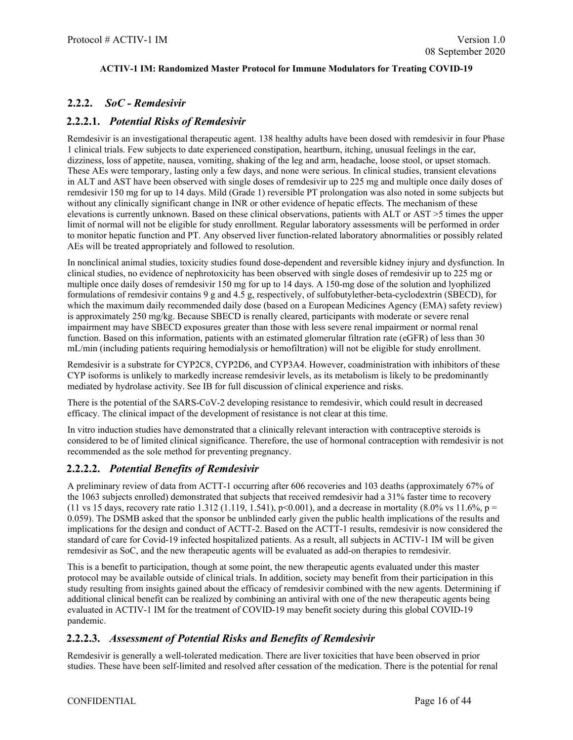## <span id="page-15-0"></span>**2.2.2.** *SoC - Remdesivir*

## <span id="page-15-1"></span>**2.2.2.1.** *Potential Risks of Remdesivir*

Remdesivir is an investigational therapeutic agent. 138 healthy adults have been dosed with remdesivir in four Phase 1 clinical trials. Few subjects to date experienced constipation, heartburn, itching, unusual feelings in the ear, dizziness, loss of appetite, nausea, vomiting, shaking of the leg and arm, headache, loose stool, or upset stomach. These AEs were temporary, lasting only a few days, and none were serious. In clinical studies, transient elevations in ALT and AST have been observed with single doses of remdesivir up to 225 mg and multiple once daily doses of remdesivir 150 mg for up to 14 days. Mild (Grade 1) reversible PT prolongation was also noted in some subjects but without any clinically significant change in INR or other evidence of hepatic effects. The mechanism of these elevations is currently unknown. Based on these clinical observations, patients with ALT or AST >5 times the upper limit of normal will not be eligible for study enrollment. Regular laboratory assessments will be performed in order to monitor hepatic function and PT. Any observed liver function-related laboratory abnormalities or possibly related AEs will be treated appropriately and followed to resolution.

In nonclinical animal studies, toxicity studies found dose-dependent and reversible kidney injury and dysfunction. In clinical studies, no evidence of nephrotoxicity has been observed with single doses of remdesivir up to 225 mg or multiple once daily doses of remdesivir 150 mg for up to 14 days. A 150-mg dose of the solution and lyophilized formulations of remdesivir contains 9 g and 4.5 g, respectively, of sulfobutylether-beta-cyclodextrin (SBECD), for which the maximum daily recommended daily dose (based on a European Medicines Agency (EMA) safety review) is approximately 250 mg/kg. Because SBECD is renally cleared, participants with moderate or severe renal impairment may have SBECD exposures greater than those with less severe renal impairment or normal renal function. Based on this information, patients with an estimated glomerular filtration rate (eGFR) of less than 30 mL/min (including patients requiring hemodialysis or hemofiltration) will not be eligible for study enrollment.

Remdesivir is a substrate for CYP2C8, CYP2D6, and CYP3A4. However, coadministration with inhibitors of these CYP isoforms is unlikely to markedly increase remdesivir levels, as its metabolism is likely to be predominantly mediated by hydrolase activity. See IB for full discussion of clinical experience and risks.

There is the potential of the SARS-CoV-2 developing resistance to remdesivir, which could result in decreased efficacy. The clinical impact of the development of resistance is not clear at this time.

In vitro induction studies have demonstrated that a clinically relevant interaction with contraceptive steroids is considered to be of limited clinical significance. Therefore, the use of hormonal contraception with remdesivir is not recommended as the sole method for preventing pregnancy.

## <span id="page-15-2"></span>**2.2.2.2.** *Potential Benefits of Remdesivir*

A preliminary review of data from ACTT-1 occurring after 606 recoveries and 103 deaths (approximately 67% of the 1063 subjects enrolled) demonstrated that subjects that received remdesivir had a 31% faster time to recovery (11 vs 15 days, recovery rate ratio 1.312 (1.119, 1.541),  $p<0.001$ ), and a decrease in mortality (8.0% vs 11.6%,  $p =$ 0.059). The DSMB asked that the sponsor be unblinded early given the public health implications of the results and implications for the design and conduct of ACTT-2. Based on the ACTT-1 results, remdesivir is now considered the standard of care for Covid-19 infected hospitalized patients. As a result, all subjects in ACTIV-1 IM will be given remdesivir as SoC, and the new therapeutic agents will be evaluated as add-on therapies to remdesivir.

This is a benefit to participation, though at some point, the new therapeutic agents evaluated under this master protocol may be available outside of clinical trials. In addition, society may benefit from their participation in this study resulting from insights gained about the efficacy of remdesivir combined with the new agents. Determining if additional clinical benefit can be realized by combining an antiviral with one of the new therapeutic agents being evaluated in ACTIV-1 IM for the treatment of COVID-19 may benefit society during this global COVID-19 pandemic.

## <span id="page-15-3"></span>**2.2.2.3.** *Assessment of Potential Risks and Benefits of Remdesivir*

Remdesivir is generally a well-tolerated medication. There are liver toxicities that have been observed in prior studies. These have been self-limited and resolved after cessation of the medication. There is the potential for renal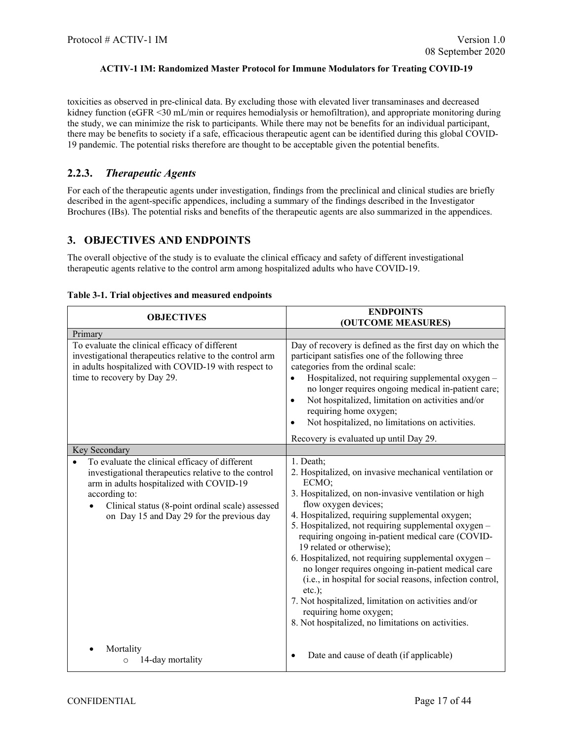toxicities as observed in pre-clinical data. By excluding those with elevated liver transaminases and decreased kidney function (eGFR <30 mL/min or requires hemodialysis or hemofiltration), and appropriate monitoring during the study, we can minimize the risk to participants. While there may not be benefits for an individual participant, there may be benefits to society if a safe, efficacious therapeutic agent can be identified during this global COVID-19 pandemic. The potential risks therefore are thought to be acceptable given the potential benefits.

## <span id="page-16-0"></span>**2.2.3.** *Therapeutic Agents*

For each of the therapeutic agents under investigation, findings from the preclinical and clinical studies are briefly described in the agent-specific appendices, including a summary of the findings described in the Investigator Brochures (IBs). The potential risks and benefits of the therapeutic agents are also summarized in the appendices.

## <span id="page-16-1"></span>**3. OBJECTIVES AND ENDPOINTS**

The overall objective of the study is to evaluate the clinical efficacy and safety of different investigational therapeutic agents relative to the control arm among hospitalized adults who have COVID-19.

| <b>OBJECTIVES</b>                                                                                                                                                                                                                                                                     | <b>ENDPOINTS</b><br>(OUTCOME MEASURES)                                                                                                                                                                                                                                                                                                                                                                                                                                                                                                                                                                                                                                                    |
|---------------------------------------------------------------------------------------------------------------------------------------------------------------------------------------------------------------------------------------------------------------------------------------|-------------------------------------------------------------------------------------------------------------------------------------------------------------------------------------------------------------------------------------------------------------------------------------------------------------------------------------------------------------------------------------------------------------------------------------------------------------------------------------------------------------------------------------------------------------------------------------------------------------------------------------------------------------------------------------------|
| Primary                                                                                                                                                                                                                                                                               |                                                                                                                                                                                                                                                                                                                                                                                                                                                                                                                                                                                                                                                                                           |
| To evaluate the clinical efficacy of different<br>investigational therapeutics relative to the control arm<br>in adults hospitalized with COVID-19 with respect to<br>time to recovery by Day 29.                                                                                     | Day of recovery is defined as the first day on which the<br>participant satisfies one of the following three<br>categories from the ordinal scale:<br>Hospitalized, not requiring supplemental oxygen -<br>no longer requires ongoing medical in-patient care;<br>Not hospitalized, limitation on activities and/or<br>$\bullet$<br>requiring home oxygen;<br>Not hospitalized, no limitations on activities.<br>$\bullet$                                                                                                                                                                                                                                                                |
|                                                                                                                                                                                                                                                                                       | Recovery is evaluated up until Day 29.                                                                                                                                                                                                                                                                                                                                                                                                                                                                                                                                                                                                                                                    |
| Key Secondary<br>To evaluate the clinical efficacy of different<br>investigational therapeutics relative to the control<br>arm in adults hospitalized with COVID-19<br>according to:<br>Clinical status (8-point ordinal scale) assessed<br>on Day 15 and Day 29 for the previous day | 1. Death;<br>2. Hospitalized, on invasive mechanical ventilation or<br>ECMO;<br>3. Hospitalized, on non-invasive ventilation or high<br>flow oxygen devices;<br>4. Hospitalized, requiring supplemental oxygen;<br>5. Hospitalized, not requiring supplemental oxygen -<br>requiring ongoing in-patient medical care (COVID-<br>19 related or otherwise);<br>6. Hospitalized, not requiring supplemental oxygen -<br>no longer requires ongoing in-patient medical care<br>(i.e., in hospital for social reasons, infection control,<br>$etc.$ );<br>7. Not hospitalized, limitation on activities and/or<br>requiring home oxygen;<br>8. Not hospitalized, no limitations on activities. |
| Mortality<br>14-day mortality<br>$\circ$                                                                                                                                                                                                                                              | Date and cause of death (if applicable)<br>$\bullet$                                                                                                                                                                                                                                                                                                                                                                                                                                                                                                                                                                                                                                      |

#### **Table 3-1. Trial objectives and measured endpoints**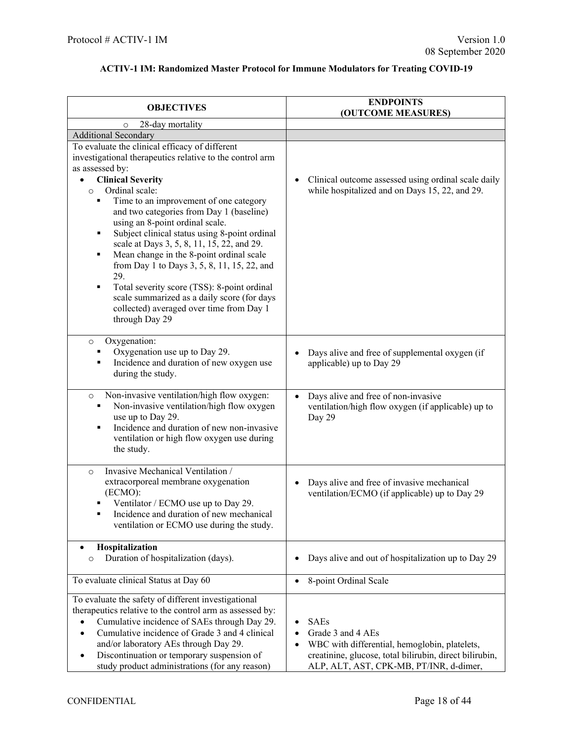| <b>OBJECTIVES</b>                                                                                                                                                                                                                                                                                                                                                                                                                                                                                                                                                                                                                                                                                | <b>ENDPOINTS</b><br>(OUTCOME MEASURES)                                                                                                                                                               |  |  |
|--------------------------------------------------------------------------------------------------------------------------------------------------------------------------------------------------------------------------------------------------------------------------------------------------------------------------------------------------------------------------------------------------------------------------------------------------------------------------------------------------------------------------------------------------------------------------------------------------------------------------------------------------------------------------------------------------|------------------------------------------------------------------------------------------------------------------------------------------------------------------------------------------------------|--|--|
| 28-day mortality<br>$\circ$                                                                                                                                                                                                                                                                                                                                                                                                                                                                                                                                                                                                                                                                      |                                                                                                                                                                                                      |  |  |
| Additional Secondary                                                                                                                                                                                                                                                                                                                                                                                                                                                                                                                                                                                                                                                                             |                                                                                                                                                                                                      |  |  |
| To evaluate the clinical efficacy of different<br>investigational therapeutics relative to the control arm<br>as assessed by:<br><b>Clinical Severity</b><br>Ordinal scale:<br>$\circ$<br>Time to an improvement of one category<br>٠<br>and two categories from Day 1 (baseline)<br>using an 8-point ordinal scale.<br>Subject clinical status using 8-point ordinal<br>٠<br>scale at Days 3, 5, 8, 11, 15, 22, and 29.<br>Mean change in the 8-point ordinal scale<br>٠<br>from Day 1 to Days 3, 5, 8, 11, 15, 22, and<br>29.<br>Total severity score (TSS): 8-point ordinal<br>٠<br>scale summarized as a daily score (for days<br>collected) averaged over time from Day 1<br>through Day 29 | Clinical outcome assessed using ordinal scale daily<br>$\bullet$<br>while hospitalized and on Days 15, 22, and 29.                                                                                   |  |  |
| Oxygenation:<br>$\circ$<br>Oxygenation use up to Day 29.<br>Incidence and duration of new oxygen use<br>٠<br>during the study.                                                                                                                                                                                                                                                                                                                                                                                                                                                                                                                                                                   | Days alive and free of supplemental oxygen (if<br>applicable) up to Day 29                                                                                                                           |  |  |
| Non-invasive ventilation/high flow oxygen:<br>$\circ$<br>Non-invasive ventilation/high flow oxygen<br>٠<br>use up to Day 29.<br>Incidence and duration of new non-invasive<br>٠<br>ventilation or high flow oxygen use during<br>the study.                                                                                                                                                                                                                                                                                                                                                                                                                                                      | Days alive and free of non-invasive<br>$\bullet$<br>ventilation/high flow oxygen (if applicable) up to<br>Day 29                                                                                     |  |  |
| Invasive Mechanical Ventilation /<br>$\circ$<br>extracorporeal membrane oxygenation<br>(ECMO):<br>Ventilator / ECMO use up to Day 29.<br>Incidence and duration of new mechanical<br>٠<br>ventilation or ECMO use during the study.                                                                                                                                                                                                                                                                                                                                                                                                                                                              | Days alive and free of invasive mechanical<br>ventilation/ECMO (if applicable) up to Day 29                                                                                                          |  |  |
| Hospitalization<br>$\bullet$<br>Duration of hospitalization (days).<br>$\circ$                                                                                                                                                                                                                                                                                                                                                                                                                                                                                                                                                                                                                   | Days alive and out of hospitalization up to Day 29                                                                                                                                                   |  |  |
| To evaluate clinical Status at Day 60                                                                                                                                                                                                                                                                                                                                                                                                                                                                                                                                                                                                                                                            | 8-point Ordinal Scale<br>$\bullet$                                                                                                                                                                   |  |  |
| To evaluate the safety of different investigational<br>therapeutics relative to the control arm as assessed by:<br>Cumulative incidence of SAEs through Day 29.<br>Cumulative incidence of Grade 3 and 4 clinical<br>and/or laboratory AEs through Day 29.<br>Discontinuation or temporary suspension of<br>٠<br>study product administrations (for any reason)                                                                                                                                                                                                                                                                                                                                  | <b>SAEs</b><br>Grade 3 and 4 AEs<br>$\bullet$<br>WBC with differential, hemoglobin, platelets,<br>creatinine, glucose, total bilirubin, direct bilirubin,<br>ALP, ALT, AST, CPK-MB, PT/INR, d-dimer, |  |  |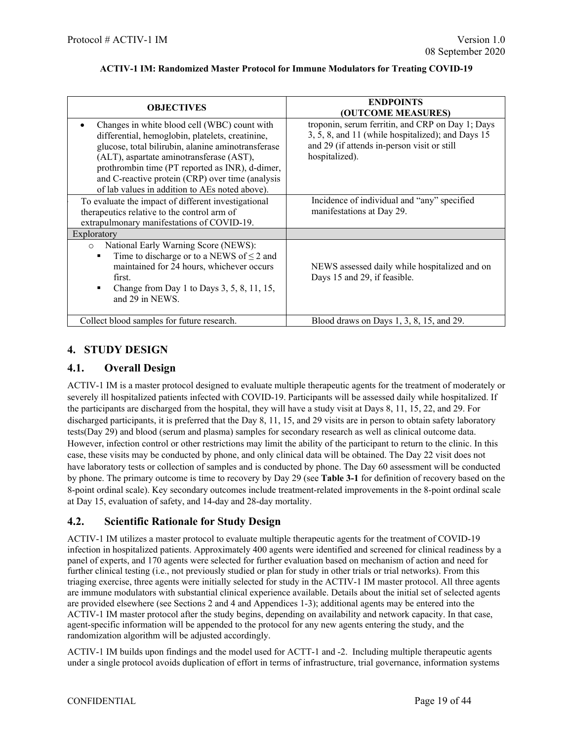| <b>OBJECTIVES</b>                                                                                                                                                                                                                                                                                                                                           | <b>ENDPOINTS</b><br>(OUTCOME MEASURES)                                                                                                                                 |
|-------------------------------------------------------------------------------------------------------------------------------------------------------------------------------------------------------------------------------------------------------------------------------------------------------------------------------------------------------------|------------------------------------------------------------------------------------------------------------------------------------------------------------------------|
| Changes in white blood cell (WBC) count with<br>differential, hemoglobin, platelets, creatinine,<br>glucose, total bilirubin, alanine aminotransferase<br>(ALT), aspartate aminotransferase (AST),<br>prothrombin time (PT reported as INR), d-dimer,<br>and C-reactive protein (CRP) over time (analysis<br>of lab values in addition to AEs noted above). | troponin, serum ferritin, and CRP on Day 1; Days<br>3, 5, 8, and 11 (while hospitalized); and Days 15<br>and 29 (if attends in-person visit or still<br>hospitalized). |
| To evaluate the impact of different investigational<br>therapeutics relative to the control arm of<br>extrapulmonary manifestations of COVID-19.                                                                                                                                                                                                            | Incidence of individual and "any" specified<br>manifestations at Day 29.                                                                                               |
| Exploratory                                                                                                                                                                                                                                                                                                                                                 |                                                                                                                                                                        |
| National Early Warning Score (NEWS):<br>$\circ$<br>Time to discharge or to a NEWS of $\leq$ 2 and<br>maintained for 24 hours, whichever occurs<br>first.<br>Change from Day 1 to Days 3, 5, 8, 11, 15,<br>٠<br>and 29 in NEWS.                                                                                                                              | NEWS assessed daily while hospitalized and on<br>Days 15 and 29, if feasible.                                                                                          |
| Collect blood samples for future research.                                                                                                                                                                                                                                                                                                                  | Blood draws on Days 1, 3, 8, 15, and 29.                                                                                                                               |

## <span id="page-18-0"></span>**4. STUDY DESIGN**

## <span id="page-18-1"></span>**4.1. Overall Design**

ACTIV-1 IM is a master protocol designed to evaluate multiple therapeutic agents for the treatment of moderately or severely ill hospitalized patients infected with COVID-19. Participants will be assessed daily while hospitalized. If the participants are discharged from the hospital, they will have a study visit at Days 8, 11, 15, 22, and 29. For discharged participants, it is preferred that the Day 8, 11, 15, and 29 visits are in person to obtain safety laboratory tests(Day 29) and blood (serum and plasma) samples for secondary research as well as clinical outcome data. However, infection control or other restrictions may limit the ability of the participant to return to the clinic. In this case, these visits may be conducted by phone, and only clinical data will be obtained. The Day 22 visit does not have laboratory tests or collection of samples and is conducted by phone. The Day 60 assessment will be conducted by phone. The primary outcome is time to recovery by Day 29 (see **Table 3-1** for definition of recovery based on the 8-point ordinal scale). Key secondary outcomes include treatment-related improvements in the 8-point ordinal scale at Day 15, evaluation of safety, and 14-day and 28-day mortality.

## <span id="page-18-2"></span>**4.2. Scientific Rationale for Study Design**

ACTIV-1 IM utilizes a master protocol to evaluate multiple therapeutic agents for the treatment of COVID-19 infection in hospitalized patients. Approximately 400 agents were identified and screened for clinical readiness by a panel of experts, and 170 agents were selected for further evaluation based on mechanism of action and need for further clinical testing (i.e., not previously studied or plan for study in other trials or trial networks). From this triaging exercise, three agents were initially selected for study in the ACTIV-1 IM master protocol. All three agents are immune modulators with substantial clinical experience available. Details about the initial set of selected agents are provided elsewhere (see Sections 2 and 4 and Appendices 1-3); additional agents may be entered into the ACTIV-1 IM master protocol after the study begins, depending on availability and network capacity. In that case, agent-specific information will be appended to the protocol for any new agents entering the study, and the randomization algorithm will be adjusted accordingly.

ACTIV-1 IM builds upon findings and the model used for ACTT-1 and -2. Including multiple therapeutic agents under a single protocol avoids duplication of effort in terms of infrastructure, trial governance, information systems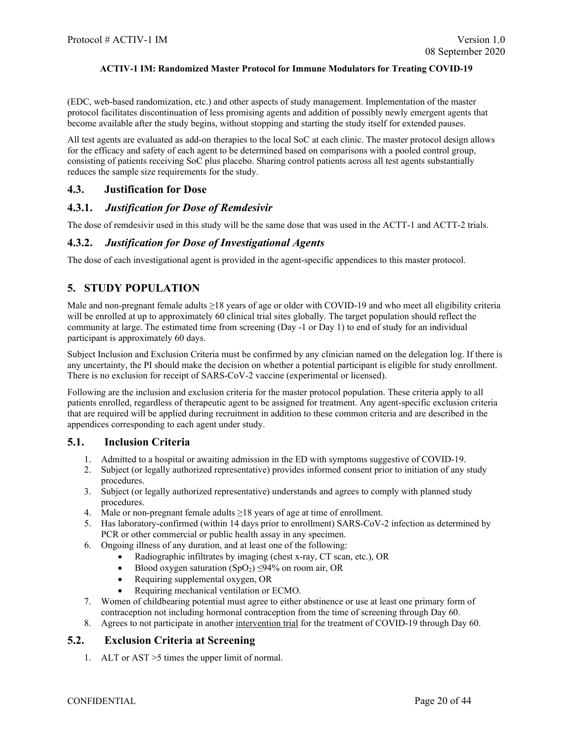(EDC, web-based randomization, etc.) and other aspects of study management. Implementation of the master protocol facilitates discontinuation of less promising agents and addition of possibly newly emergent agents that become available after the study begins, without stopping and starting the study itself for extended pauses.

All test agents are evaluated as add-on therapies to the local SoC at each clinic. The master protocol design allows for the efficacy and safety of each agent to be determined based on comparisons with a pooled control group, consisting of patients receiving SoC plus placebo. Sharing control patients across all test agents substantially reduces the sample size requirements for the study.

### <span id="page-19-0"></span>**4.3. Justification for Dose**

### <span id="page-19-1"></span>**4.3.1.** *Justification for Dose of Remdesivir*

The dose of remdesivir used in this study will be the same dose that was used in the ACTT-1 and ACTT-2 trials.

## <span id="page-19-2"></span>**4.3.2.** *Justification for Dose of Investigational Agents*

The dose of each investigational agent is provided in the agent-specific appendices to this master protocol.

## <span id="page-19-3"></span>**5. STUDY POPULATION**

Male and non-pregnant female adults  $\geq$ 18 years of age or older with COVID-19 and who meet all eligibility criteria will be enrolled at up to approximately 60 clinical trial sites globally. The target population should reflect the community at large. The estimated time from screening (Day -1 or Day 1) to end of study for an individual participant is approximately 60 days.

Subject Inclusion and Exclusion Criteria must be confirmed by any clinician named on the delegation log. If there is any uncertainty, the PI should make the decision on whether a potential participant is eligible for study enrollment. There is no exclusion for receipt of SARS-CoV-2 vaccine (experimental or licensed).

Following are the inclusion and exclusion criteria for the master protocol population. These criteria apply to all patients enrolled, regardless of therapeutic agent to be assigned for treatment. Any agent-specific exclusion criteria that are required will be applied during recruitment in addition to these common criteria and are described in the appendices corresponding to each agent under study.

#### <span id="page-19-4"></span>**5.1. Inclusion Criteria**

- 1. Admitted to a hospital or awaiting admission in the ED with symptoms suggestive of COVID-19.
- 2. Subject (or legally authorized representative) provides informed consent prior to initiation of any study procedures.
- 3. Subject (or legally authorized representative) understands and agrees to comply with planned study procedures.
- 4. Male or non-pregnant female adults ≥18 years of age at time of enrollment.
- 5. Has laboratory-confirmed (within 14 days prior to enrollment) SARS-CoV-2 infection as determined by PCR or other commercial or public health assay in any specimen.
- 6. Ongoing illness of any duration, and at least one of the following:
	- Radiographic infiltrates by imaging (chest x-ray, CT scan, etc.), OR
	- Blood oxygen saturation  $(SpO<sub>2</sub>) \leq 94\%$  on room air, OR
	- Requiring supplemental oxygen, OR
	- Requiring mechanical ventilation or ECMO.
- 7. Women of childbearing potential must agree to either abstinence or use at least one primary form of contraception not including hormonal contraception from the time of screening through Day 60.
- 8. Agrees to not participate in another intervention trial for the treatment of COVID-19 through Day 60.

## <span id="page-19-5"></span>**5.2. Exclusion Criteria at Screening**

1. ALT or AST >5 times the upper limit of normal.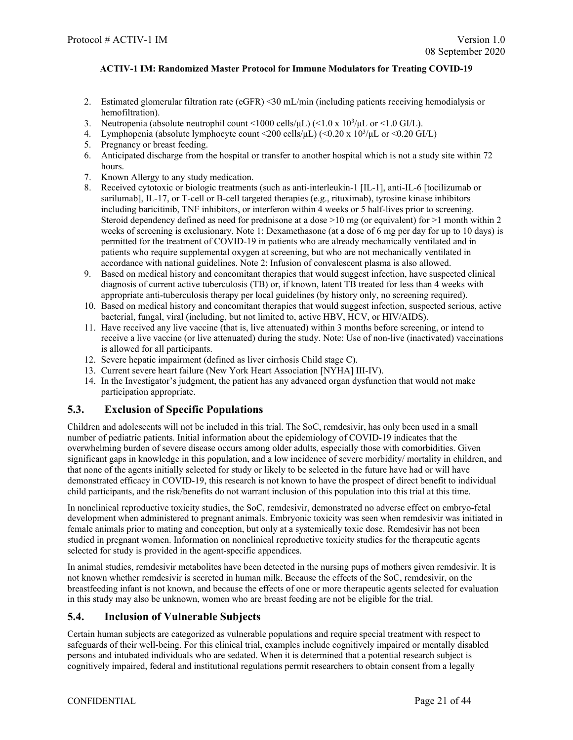- 2. Estimated glomerular filtration rate (eGFR) <30 mL/min (including patients receiving hemodialysis or hemofiltration).
- 3. Neutropenia (absolute neutrophil count <1000 cells/ $\mu$ L) (<1.0 x 10<sup>3</sup>/ $\mu$ L or <1.0 GI/L).
- 4. Lymphopenia (absolute lymphocyte count <200 cells/ $\mu$ L) (<0.20 x 10<sup>3</sup>/ $\mu$ L or <0.20 GI/L)
- 5. Pregnancy or breast feeding.
- 6. Anticipated discharge from the hospital or transfer to another hospital which is not a study site within 72 hours.
- 7. Known Allergy to any study medication.
- 8. Received cytotoxic or biologic treatments (such as anti-interleukin-1 [IL-1], anti-IL-6 [tocilizumab or sarilumab], IL-17, or T-cell or B-cell targeted therapies (e.g., rituximab), tyrosine kinase inhibitors including baricitinib, TNF inhibitors, or interferon within 4 weeks or 5 half-lives prior to screening. Steroid dependency defined as need for prednisone at a dose  $>10$  mg (or equivalent) for  $>1$  month within 2 weeks of screening is exclusionary. Note 1: Dexamethasone (at a dose of 6 mg per day for up to 10 days) is permitted for the treatment of COVID-19 in patients who are already mechanically ventilated and in patients who require supplemental oxygen at screening, but who are not mechanically ventilated in accordance with national guidelines. Note 2: Infusion of convalescent plasma is also allowed.
- 9. Based on medical history and concomitant therapies that would suggest infection, have suspected clinical diagnosis of current active tuberculosis (TB) or, if known, latent TB treated for less than 4 weeks with appropriate anti-tuberculosis therapy per local guidelines (by history only, no screening required).
- 10. Based on medical history and concomitant therapies that would suggest infection, suspected serious, active bacterial, fungal, viral (including, but not limited to, active HBV, HCV, or HIV/AIDS).
- 11. Have received any live vaccine (that is, live attenuated) within 3 months before screening, or intend to receive a live vaccine (or live attenuated) during the study. Note: Use of non-live (inactivated) vaccinations is allowed for all participants.
- 12. Severe hepatic impairment (defined as liver cirrhosis Child stage C).
- 13. Current severe heart failure (New York Heart Association [NYHA] III-IV).
- 14. In the Investigator's judgment, the patient has any advanced organ dysfunction that would not make participation appropriate.

## <span id="page-20-0"></span>**5.3. Exclusion of Specific Populations**

Children and adolescents will not be included in this trial. The SoC, remdesivir, has only been used in a small number of pediatric patients. Initial information about the epidemiology of COVID-19 indicates that the overwhelming burden of severe disease occurs among older adults, especially those with comorbidities. Given significant gaps in knowledge in this population, and a low incidence of severe morbidity/ mortality in children, and that none of the agents initially selected for study or likely to be selected in the future have had or will have demonstrated efficacy in COVID-19, this research is not known to have the prospect of direct benefit to individual child participants, and the risk/benefits do not warrant inclusion of this population into this trial at this time.

In nonclinical reproductive toxicity studies, the SoC, remdesivir, demonstrated no adverse effect on embryo-fetal development when administered to pregnant animals. Embryonic toxicity was seen when remdesivir was initiated in female animals prior to mating and conception, but only at a systemically toxic dose. Remdesivir has not been studied in pregnant women. Information on nonclinical reproductive toxicity studies for the therapeutic agents selected for study is provided in the agent-specific appendices.

In animal studies, remdesivir metabolites have been detected in the nursing pups of mothers given remdesivir. It is not known whether remdesivir is secreted in human milk. Because the effects of the SoC, remdesivir, on the breastfeeding infant is not known, and because the effects of one or more therapeutic agents selected for evaluation in this study may also be unknown, women who are breast feeding are not be eligible for the trial.

## <span id="page-20-1"></span>**5.4. Inclusion of Vulnerable Subjects**

Certain human subjects are categorized as vulnerable populations and require special treatment with respect to safeguards of their well-being. For this clinical trial, examples include cognitively impaired or mentally disabled persons and intubated individuals who are sedated. When it is determined that a potential research subject is cognitively impaired, federal and institutional regulations permit researchers to obtain consent from a legally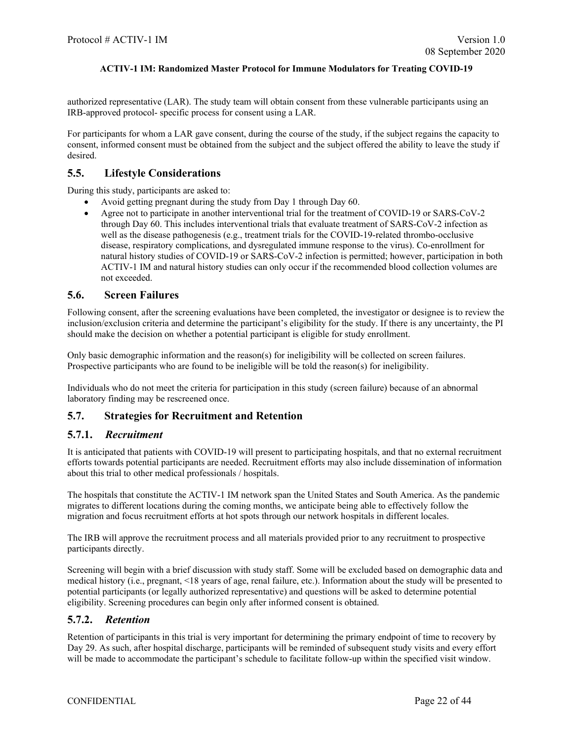authorized representative (LAR). The study team will obtain consent from these vulnerable participants using an IRB-approved protocol- specific process for consent using a LAR.

For participants for whom a LAR gave consent, during the course of the study, if the subject regains the capacity to consent, informed consent must be obtained from the subject and the subject offered the ability to leave the study if desired.

### <span id="page-21-0"></span>**5.5. Lifestyle Considerations**

During this study, participants are asked to:

- Avoid getting pregnant during the study from Day 1 through Day 60.
- Agree not to participate in another interventional trial for the treatment of COVID-19 or SARS-CoV-2 through Day 60. This includes interventional trials that evaluate treatment of SARS-CoV-2 infection as well as the disease pathogenesis (e.g., treatment trials for the COVID-19-related thrombo-occlusive disease, respiratory complications, and dysregulated immune response to the virus). Co-enrollment for natural history studies of COVID-19 or SARS-CoV-2 infection is permitted; however, participation in both ACTIV-1 IM and natural history studies can only occur if the recommended blood collection volumes are not exceeded.

#### <span id="page-21-1"></span>**5.6. Screen Failures**

Following consent, after the screening evaluations have been completed, the investigator or designee is to review the inclusion/exclusion criteria and determine the participant's eligibility for the study. If there is any uncertainty, the PI should make the decision on whether a potential participant is eligible for study enrollment.

Only basic demographic information and the reason(s) for ineligibility will be collected on screen failures. Prospective participants who are found to be ineligible will be told the reason(s) for ineligibility.

Individuals who do not meet the criteria for participation in this study (screen failure) because of an abnormal laboratory finding may be rescreened once.

## <span id="page-21-2"></span>**5.7. Strategies for Recruitment and Retention**

## <span id="page-21-3"></span>**5.7.1.** *Recruitment*

It is anticipated that patients with COVID-19 will present to participating hospitals, and that no external recruitment efforts towards potential participants are needed. Recruitment efforts may also include dissemination of information about this trial to other medical professionals / hospitals.

The hospitals that constitute the ACTIV-1 IM network span the United States and South America. As the pandemic migrates to different locations during the coming months, we anticipate being able to effectively follow the migration and focus recruitment efforts at hot spots through our network hospitals in different locales.

The IRB will approve the recruitment process and all materials provided prior to any recruitment to prospective participants directly.

Screening will begin with a brief discussion with study staff. Some will be excluded based on demographic data and medical history (i.e., pregnant, <18 years of age, renal failure, etc.). Information about the study will be presented to potential participants (or legally authorized representative) and questions will be asked to determine potential eligibility. Screening procedures can begin only after informed consent is obtained.

## <span id="page-21-4"></span>**5.7.2.** *Retention*

Retention of participants in this trial is very important for determining the primary endpoint of time to recovery by Day 29. As such, after hospital discharge, participants will be reminded of subsequent study visits and every effort will be made to accommodate the participant's schedule to facilitate follow-up within the specified visit window.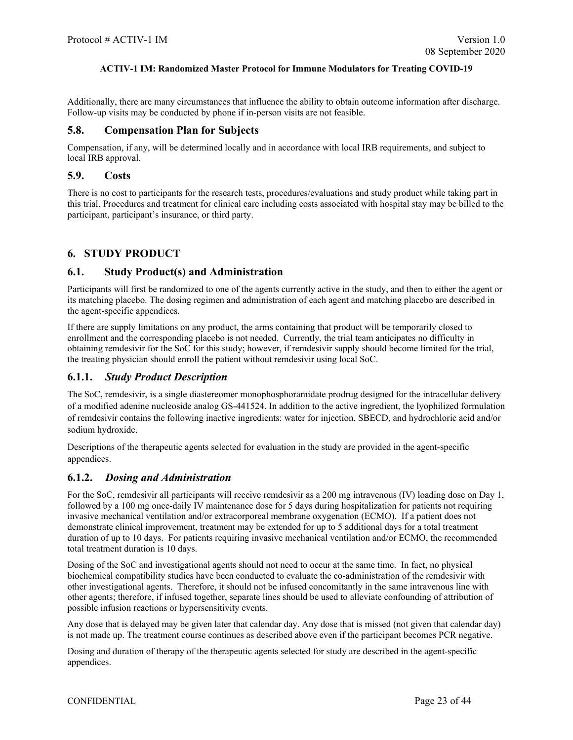Additionally, there are many circumstances that influence the ability to obtain outcome information after discharge. Follow-up visits may be conducted by phone if in-person visits are not feasible.

#### <span id="page-22-0"></span>**5.8. Compensation Plan for Subjects**

Compensation, if any, will be determined locally and in accordance with local IRB requirements, and subject to local IRB approval.

#### <span id="page-22-1"></span>**5.9. Costs**

There is no cost to participants for the research tests, procedures/evaluations and study product while taking part in this trial. Procedures and treatment for clinical care including costs associated with hospital stay may be billed to the participant, participant's insurance, or third party.

## <span id="page-22-2"></span>**6. STUDY PRODUCT**

### <span id="page-22-3"></span>**6.1. Study Product(s) and Administration**

Participants will first be randomized to one of the agents currently active in the study, and then to either the agent or its matching placebo. The dosing regimen and administration of each agent and matching placebo are described in the agent-specific appendices.

If there are supply limitations on any product, the arms containing that product will be temporarily closed to enrollment and the corresponding placebo is not needed. Currently, the trial team anticipates no difficulty in obtaining remdesivir for the SoC for this study; however, if remdesivir supply should become limited for the trial, the treating physician should enroll the patient without remdesivir using local SoC.

## <span id="page-22-4"></span>**6.1.1.** *Study Product Description*

The SoC, remdesivir, is a single diastereomer monophosphoramidate prodrug designed for the intracellular delivery of a modified adenine nucleoside analog GS-441524. In addition to the active ingredient, the lyophilized formulation of remdesivir contains the following inactive ingredients: water for injection, SBECD, and hydrochloric acid and/or sodium hydroxide.

Descriptions of the therapeutic agents selected for evaluation in the study are provided in the agent-specific appendices.

## <span id="page-22-5"></span>**6.1.2.** *Dosing and Administration*

For the SoC, remdesivir all participants will receive remdesivir as a 200 mg intravenous (IV) loading dose on Day 1, followed by a 100 mg once-daily IV maintenance dose for 5 days during hospitalization for patients not requiring invasive mechanical ventilation and/or extracorporeal membrane oxygenation (ECMO). If a patient does not demonstrate clinical improvement, treatment may be extended for up to 5 additional days for a total treatment duration of up to 10 days. For patients requiring invasive mechanical ventilation and/or ECMO, the recommended total treatment duration is 10 days.

Dosing of the SoC and investigational agents should not need to occur at the same time. In fact, no physical biochemical compatibility studies have been conducted to evaluate the co-administration of the remdesivir with other investigational agents. Therefore, it should not be infused concomitantly in the same intravenous line with other agents; therefore, if infused together, separate lines should be used to alleviate confounding of attribution of possible infusion reactions or hypersensitivity events.

Any dose that is delayed may be given later that calendar day. Any dose that is missed (not given that calendar day) is not made up. The treatment course continues as described above even if the participant becomes PCR negative.

Dosing and duration of therapy of the therapeutic agents selected for study are described in the agent-specific appendices.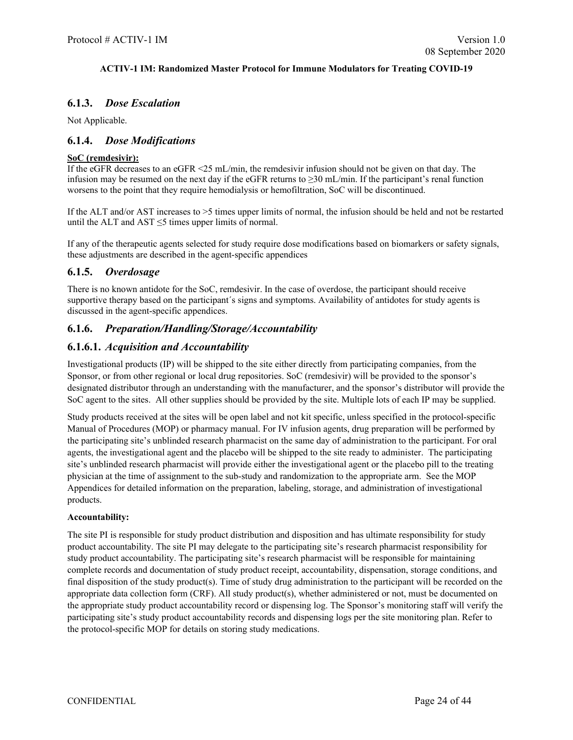## <span id="page-23-0"></span>**6.1.3.** *Dose Escalation*

Not Applicable.

## <span id="page-23-1"></span>**6.1.4.** *Dose Modifications*

## **SoC (remdesivir):**

If the eGFR decreases to an eGFR <25 mL/min, the remdesivir infusion should not be given on that day. The infusion may be resumed on the next day if the eGFR returns to ≥30 mL/min. If the participant's renal function worsens to the point that they require hemodialysis or hemofiltration, SoC will be discontinued.

If the ALT and/or AST increases to >5 times upper limits of normal, the infusion should be held and not be restarted until the ALT and AST  $\leq$ 5 times upper limits of normal.

If any of the therapeutic agents selected for study require dose modifications based on biomarkers or safety signals, these adjustments are described in the agent-specific appendices

## <span id="page-23-2"></span>**6.1.5.** *Overdosage*

There is no known antidote for the SoC, remdesivir. In the case of overdose, the participant should receive supportive therapy based on the participant's signs and symptoms. Availability of antidotes for study agents is discussed in the agent-specific appendices.

## <span id="page-23-3"></span>**6.1.6.** *Preparation/Handling/Storage/Accountability*

## <span id="page-23-4"></span>**6.1.6.1.** *Acquisition and Accountability*

Investigational products (IP) will be shipped to the site either directly from participating companies, from the Sponsor, or from other regional or local drug repositories. SoC (remdesivir) will be provided to the sponsor's designated distributor through an understanding with the manufacturer, and the sponsor's distributor will provide the SoC agent to the sites. All other supplies should be provided by the site. Multiple lots of each IP may be supplied.

Study products received at the sites will be open label and not kit specific, unless specified in the protocol-specific Manual of Procedures (MOP) or pharmacy manual. For IV infusion agents, drug preparation will be performed by the participating site's unblinded research pharmacist on the same day of administration to the participant. For oral agents, the investigational agent and the placebo will be shipped to the site ready to administer. The participating site's unblinded research pharmacist will provide either the investigational agent or the placebo pill to the treating physician at the time of assignment to the sub-study and randomization to the appropriate arm. See the MOP Appendices for detailed information on the preparation, labeling, storage, and administration of investigational products.

#### **Accountability:**

The site PI is responsible for study product distribution and disposition and has ultimate responsibility for study product accountability. The site PI may delegate to the participating site's research pharmacist responsibility for study product accountability. The participating site's research pharmacist will be responsible for maintaining complete records and documentation of study product receipt, accountability, dispensation, storage conditions, and final disposition of the study product(s). Time of study drug administration to the participant will be recorded on the appropriate data collection form (CRF). All study product(s), whether administered or not, must be documented on the appropriate study product accountability record or dispensing log. The Sponsor's monitoring staff will verify the participating site's study product accountability records and dispensing logs per the site monitoring plan. Refer to the protocol-specific MOP for details on storing study medications.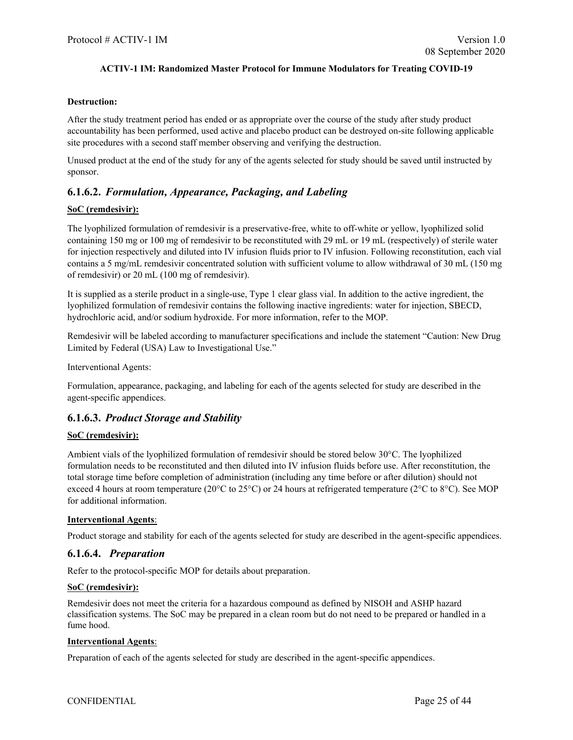#### **Destruction:**

After the study treatment period has ended or as appropriate over the course of the study after study product accountability has been performed, used active and placebo product can be destroyed on-site following applicable site procedures with a second staff member observing and verifying the destruction.

Unused product at the end of the study for any of the agents selected for study should be saved until instructed by sponsor.

## <span id="page-24-0"></span>**6.1.6.2.** *Formulation, Appearance, Packaging, and Labeling*

#### **SoC (remdesivir):**

The lyophilized formulation of remdesivir is a preservative-free, white to off-white or yellow, lyophilized solid containing 150 mg or 100 mg of remdesivir to be reconstituted with 29 mL or 19 mL (respectively) of sterile water for injection respectively and diluted into IV infusion fluids prior to IV infusion. Following reconstitution, each vial contains a 5 mg/mL remdesivir concentrated solution with sufficient volume to allow withdrawal of 30 mL (150 mg of remdesivir) or 20 mL (100 mg of remdesivir).

It is supplied as a sterile product in a single-use, Type 1 clear glass vial. In addition to the active ingredient, the lyophilized formulation of remdesivir contains the following inactive ingredients: water for injection, SBECD, hydrochloric acid, and/or sodium hydroxide. For more information, refer to the MOP.

Remdesivir will be labeled according to manufacturer specifications and include the statement "Caution: New Drug Limited by Federal (USA) Law to Investigational Use."

Interventional Agents:

Formulation, appearance, packaging, and labeling for each of the agents selected for study are described in the agent-specific appendices.

## <span id="page-24-1"></span>**6.1.6.3.** *Product Storage and Stability*

#### **SoC (remdesivir):**

Ambient vials of the lyophilized formulation of remdesivir should be stored below 30°C. The lyophilized formulation needs to be reconstituted and then diluted into IV infusion fluids before use. After reconstitution, the total storage time before completion of administration (including any time before or after dilution) should not exceed 4 hours at room temperature (20°C to 25°C) or 24 hours at refrigerated temperature (2°C to 8°C). See MOP for additional information.

#### **Interventional Agents**:

Product storage and stability for each of the agents selected for study are described in the agent-specific appendices.

#### <span id="page-24-2"></span>**6.1.6.4.** *Preparation*

Refer to the protocol-specific MOP for details about preparation.

#### **SoC (remdesivir):**

Remdesivir does not meet the criteria for a hazardous compound as defined by NISOH and ASHP hazard classification systems. The SoC may be prepared in a clean room but do not need to be prepared or handled in a fume hood.

#### **Interventional Agents**:

Preparation of each of the agents selected for study are described in the agent-specific appendices.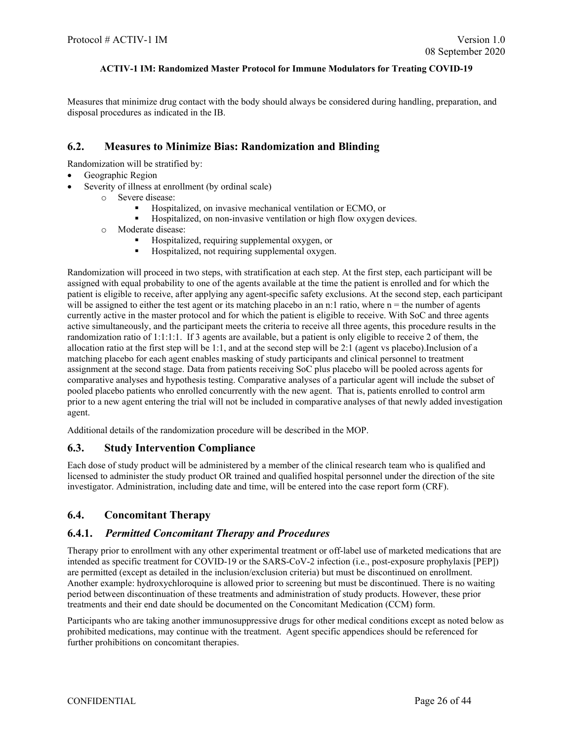Measures that minimize drug contact with the body should always be considered during handling, preparation, and disposal procedures as indicated in the IB.

### <span id="page-25-0"></span>**6.2. Measures to Minimize Bias: Randomization and Blinding**

Randomization will be stratified by:

- Geographic Region
- Severity of illness at enrollment (by ordinal scale)
	- o Severe disease:
		- **Hospitalized, on invasive mechanical ventilation or ECMO, or**
		- Hospitalized, on non-invasive ventilation or high flow oxygen devices.
	- o Moderate disease:
		- Hospitalized, requiring supplemental oxygen, or
		- **Hospitalized, not requiring supplemental oxygen.**

Randomization will proceed in two steps, with stratification at each step. At the first step, each participant will be assigned with equal probability to one of the agents available at the time the patient is enrolled and for which the patient is eligible to receive, after applying any agent-specific safety exclusions. At the second step, each participant will be assigned to either the test agent or its matching placebo in an n:1 ratio, where  $n =$  the number of agents currently active in the master protocol and for which the patient is eligible to receive. With SoC and three agents active simultaneously, and the participant meets the criteria to receive all three agents, this procedure results in the randomization ratio of 1:1:1:1. If 3 agents are available, but a patient is only eligible to receive 2 of them, the allocation ratio at the first step will be 1:1, and at the second step will be 2:1 (agent vs placebo).Inclusion of a matching placebo for each agent enables masking of study participants and clinical personnel to treatment assignment at the second stage. Data from patients receiving SoC plus placebo will be pooled across agents for comparative analyses and hypothesis testing. Comparative analyses of a particular agent will include the subset of pooled placebo patients who enrolled concurrently with the new agent. That is, patients enrolled to control arm prior to a new agent entering the trial will not be included in comparative analyses of that newly added investigation agent.

Additional details of the randomization procedure will be described in the MOP.

#### <span id="page-25-1"></span>**6.3. Study Intervention Compliance**

Each dose of study product will be administered by a member of the clinical research team who is qualified and licensed to administer the study product OR trained and qualified hospital personnel under the direction of the site investigator. Administration, including date and time, will be entered into the case report form (CRF).

## <span id="page-25-2"></span>**6.4. Concomitant Therapy**

#### <span id="page-25-3"></span>**6.4.1.** *Permitted Concomitant Therapy and Procedures*

Therapy prior to enrollment with any other experimental treatment or off-label use of marketed medications that are intended as specific treatment for COVID-19 or the SARS-CoV-2 infection (i.e., post-exposure prophylaxis [PEP]) are permitted (except as detailed in the inclusion/exclusion criteria) but must be discontinued on enrollment. Another example: hydroxychloroquine is allowed prior to screening but must be discontinued. There is no waiting period between discontinuation of these treatments and administration of study products. However, these prior treatments and their end date should be documented on the Concomitant Medication (CCM) form.

Participants who are taking another immunosuppressive drugs for other medical conditions except as noted below as prohibited medications, may continue with the treatment. Agent specific appendices should be referenced for further prohibitions on concomitant therapies.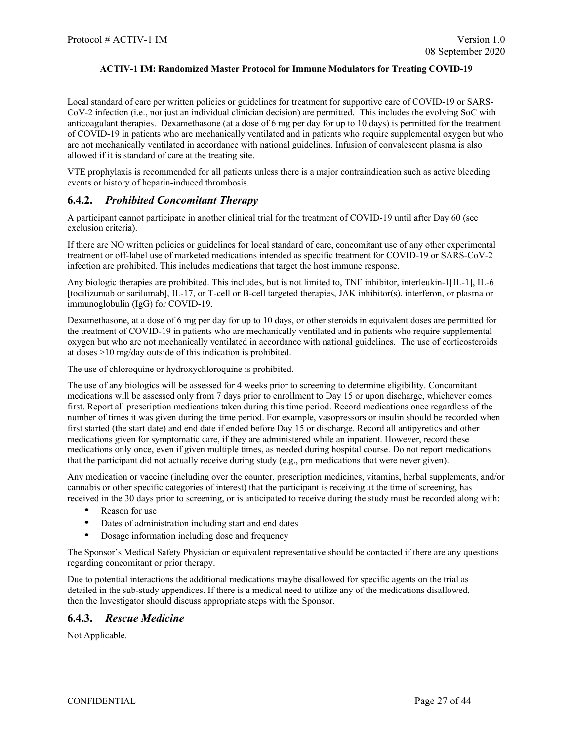Local standard of care per written policies or guidelines for treatment for supportive care of COVID-19 or SARS-CoV-2 infection (i.e., not just an individual clinician decision) are permitted. This includes the evolving SoC with anticoagulant therapies. Dexamethasone (at a dose of 6 mg per day for up to 10 days) is permitted for the treatment of COVID-19 in patients who are mechanically ventilated and in patients who require supplemental oxygen but who are not mechanically ventilated in accordance with national guidelines. Infusion of convalescent plasma is also allowed if it is standard of care at the treating site.

VTE prophylaxis is recommended for all patients unless there is a major contraindication such as active bleeding events or history of heparin-induced thrombosis.

## <span id="page-26-0"></span>**6.4.2.** *Prohibited Concomitant Therapy*

A participant cannot participate in another clinical trial for the treatment of COVID-19 until after Day 60 (see exclusion criteria).

If there are NO written policies or guidelines for local standard of care, concomitant use of any other experimental treatment or off-label use of marketed medications intended as specific treatment for COVID-19 or SARS-CoV-2 infection are prohibited. This includes medications that target the host immune response.

Any biologic therapies are prohibited. This includes, but is not limited to, TNF inhibitor, interleukin-1[IL-1], IL-6 [tocilizumab or sarilumab], IL-17, or T-cell or B-cell targeted therapies, JAK inhibitor(s), interferon, or plasma or immunoglobulin (IgG) for COVID-19.

Dexamethasone, at a dose of 6 mg per day for up to 10 days, or other steroids in equivalent doses are permitted for the treatment of COVID-19 in patients who are mechanically ventilated and in patients who require supplemental oxygen but who are not mechanically ventilated in accordance with national guidelines. The use of corticosteroids at doses >10 mg/day outside of this indication is prohibited.

The use of chloroquine or hydroxychloroquine is prohibited.

The use of any biologics will be assessed for 4 weeks prior to screening to determine eligibility. Concomitant medications will be assessed only from 7 days prior to enrollment to Day 15 or upon discharge, whichever comes first. Report all prescription medications taken during this time period. Record medications once regardless of the number of times it was given during the time period. For example, vasopressors or insulin should be recorded when first started (the start date) and end date if ended before Day 15 or discharge. Record all antipyretics and other medications given for symptomatic care, if they are administered while an inpatient. However, record these medications only once, even if given multiple times, as needed during hospital course. Do not report medications that the participant did not actually receive during study (e.g., prn medications that were never given).

Any medication or vaccine (including over the counter, prescription medicines, vitamins, herbal supplements, and/or cannabis or other specific categories of interest) that the participant is receiving at the time of screening, has received in the 30 days prior to screening, or is anticipated to receive during the study must be recorded along with:

- Reason for use
- Dates of administration including start and end dates
- Dosage information including dose and frequency

The Sponsor's Medical Safety Physician or equivalent representative should be contacted if there are any questions regarding concomitant or prior therapy.

Due to potential interactions the additional medications maybe disallowed for specific agents on the trial as detailed in the sub-study appendices. If there is a medical need to utilize any of the medications disallowed, then the Investigator should discuss appropriate steps with the Sponsor.

#### <span id="page-26-1"></span>**6.4.3.** *Rescue Medicine*

Not Applicable.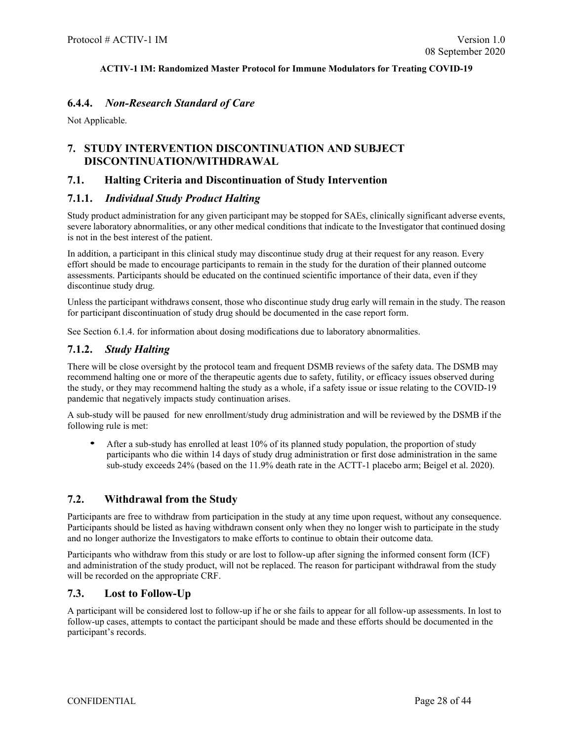## <span id="page-27-0"></span>**6.4.4.** *Non-Research Standard of Care*

Not Applicable.

## <span id="page-27-1"></span>**7. STUDY INTERVENTION DISCONTINUATION AND SUBJECT DISCONTINUATION/WITHDRAWAL**

### <span id="page-27-2"></span>**7.1. Halting Criteria and Discontinuation of Study Intervention**

## <span id="page-27-3"></span>**7.1.1.** *Individual Study Product Halting*

Study product administration for any given participant may be stopped for SAEs, clinically significant adverse events, severe laboratory abnormalities, or any other medical conditions that indicate to the Investigator that continued dosing is not in the best interest of the patient.

In addition, a participant in this clinical study may discontinue study drug at their request for any reason. Every effort should be made to encourage participants to remain in the study for the duration of their planned outcome assessments. Participants should be educated on the continued scientific importance of their data, even if they discontinue study drug.

Unless the participant withdraws consent, those who discontinue study drug early will remain in the study. The reason for participant discontinuation of study drug should be documented in the case report form.

See Section 6.1.4. for information about dosing modifications due to laboratory abnormalities.

## <span id="page-27-4"></span>**7.1.2.** *Study Halting*

There will be close oversight by the protocol team and frequent DSMB reviews of the safety data. The DSMB may recommend halting one or more of the therapeutic agents due to safety, futility, or efficacy issues observed during the study, or they may recommend halting the study as a whole, if a safety issue or issue relating to the COVID-19 pandemic that negatively impacts study continuation arises.

A sub-study will be paused for new enrollment/study drug administration and will be reviewed by the DSMB if the following rule is met:

• After a sub-study has enrolled at least 10% of its planned study population, the proportion of study participants who die within 14 days of study drug administration or first dose administration in the same sub-study exceeds 24% (based on the 11.9% death rate in the ACTT-1 placebo arm; Beigel et al. 2020).

## <span id="page-27-5"></span>**7.2. Withdrawal from the Study**

Participants are free to withdraw from participation in the study at any time upon request, without any consequence. Participants should be listed as having withdrawn consent only when they no longer wish to participate in the study and no longer authorize the Investigators to make efforts to continue to obtain their outcome data.

Participants who withdraw from this study or are lost to follow-up after signing the informed consent form (ICF) and administration of the study product, will not be replaced. The reason for participant withdrawal from the study will be recorded on the appropriate CRF.

#### <span id="page-27-6"></span>**7.3. Lost to Follow-Up**

A participant will be considered lost to follow-up if he or she fails to appear for all follow-up assessments. In lost to follow-up cases, attempts to contact the participant should be made and these efforts should be documented in the participant's records.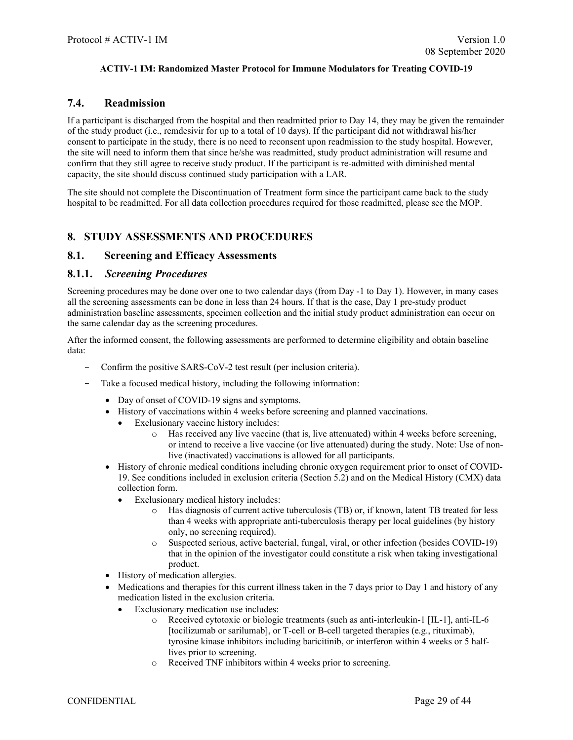## <span id="page-28-0"></span>**7.4. Readmission**

If a participant is discharged from the hospital and then readmitted prior to Day 14, they may be given the remainder of the study product (i.e., remdesivir for up to a total of 10 days). If the participant did not withdrawal his/her consent to participate in the study, there is no need to reconsent upon readmission to the study hospital. However, the site will need to inform them that since he/she was readmitted, study product administration will resume and confirm that they still agree to receive study product. If the participant is re-admitted with diminished mental capacity, the site should discuss continued study participation with a LAR.

The site should not complete the Discontinuation of Treatment form since the participant came back to the study hospital to be readmitted. For all data collection procedures required for those readmitted, please see the MOP.

## <span id="page-28-1"></span>**8. STUDY ASSESSMENTS AND PROCEDURES**

### <span id="page-28-2"></span>**8.1. Screening and Efficacy Assessments**

### <span id="page-28-3"></span>**8.1.1.** *Screening Procedures*

Screening procedures may be done over one to two calendar days (from Day -1 to Day 1). However, in many cases all the screening assessments can be done in less than 24 hours. If that is the case, Day 1 pre-study product administration baseline assessments, specimen collection and the initial study product administration can occur on the same calendar day as the screening procedures.

After the informed consent, the following assessments are performed to determine eligibility and obtain baseline data:

- Confirm the positive SARS-CoV-2 test result (per inclusion criteria).
- Take a focused medical history, including the following information:
	- Day of onset of COVID-19 signs and symptoms.
	- History of vaccinations within 4 weeks before screening and planned vaccinations.
		- Exclusionary vaccine history includes:
			- $\circ$  Has received any live vaccine (that is, live attenuated) within 4 weeks before screening, or intend to receive a live vaccine (or live attenuated) during the study. Note: Use of nonlive (inactivated) vaccinations is allowed for all participants.
	- History of chronic medical conditions including chronic oxygen requirement prior to onset of COVID-19. See conditions included in exclusion criteria (Section [5.2\)](#page-19-5) and on the Medical History (CMX) data collection form.
		- Exclusionary medical history includes:
			- o Has diagnosis of current active tuberculosis (TB) or, if known, latent TB treated for less than 4 weeks with appropriate anti-tuberculosis therapy per local guidelines (by history only, no screening required).
			- o Suspected serious, active bacterial, fungal, viral, or other infection (besides COVID-19) that in the opinion of the investigator could constitute a risk when taking investigational product.
	- History of medication allergies.
	- Medications and therapies for this current illness taken in the 7 days prior to Day 1 and history of any medication listed in the exclusion criteria.
		- Exclusionary medication use includes:
			- o Received cytotoxic or biologic treatments (such as anti-interleukin-1 [IL-1], anti-IL-6 [tocilizumab or sarilumab], or T-cell or B-cell targeted therapies (e.g., rituximab), tyrosine kinase inhibitors including baricitinib, or interferon within 4 weeks or 5 halflives prior to screening.
			- o Received TNF inhibitors within 4 weeks prior to screening.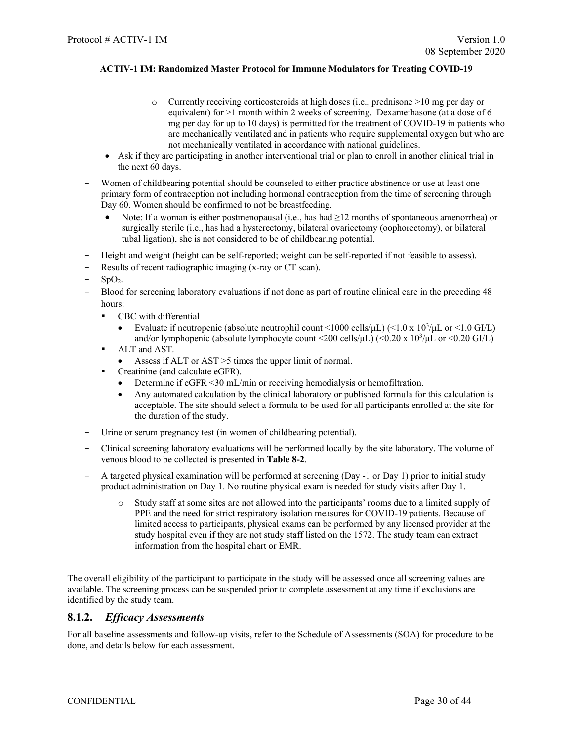- o Currently receiving corticosteroids at high doses (i.e., prednisone >10 mg per day or equivalent) for >1 month within 2 weeks of screening. Dexamethasone (at a dose of 6 mg per day for up to 10 days) is permitted for the treatment of COVID-19 in patients who are mechanically ventilated and in patients who require supplemental oxygen but who are not mechanically ventilated in accordance with national guidelines.
- Ask if they are participating in another interventional trial or plan to enroll in another clinical trial in the next 60 days.
- Women of childbearing potential should be counseled to either practice abstinence or use at least one primary form of contraception not including hormonal contraception from the time of screening through Day 60. Women should be confirmed to not be breastfeeding.
	- Note: If a woman is either postmenopausal (i.e., has had  $\geq 12$  months of spontaneous amenorrhea) or surgically sterile (i.e., has had a hysterectomy, bilateral ovariectomy (oophorectomy), or bilateral tubal ligation), she is not considered to be of childbearing potential.
- Height and weight (height can be self-reported; weight can be self-reported if not feasible to assess).
- Results of recent radiographic imaging (x-ray or CT scan).
- $SpO<sub>2</sub>$ .
- Blood for screening laboratory evaluations if not done as part of routine clinical care in the preceding 48 hours:
	- CBC with differential
		- Evaluate if neutropenic (absolute neutrophil count <1000 cells/ $\mu$ L) (<1.0 x 10<sup>3</sup>/ $\mu$ L or <1.0 GI/L) and/or lymphopenic (absolute lymphocyte count <200 cells/μL) (<0.20 x 10<sup>3</sup>/μL or <0.20 GI/L)
	- ALT and AST.
		- Assess if ALT or AST > 5 times the upper limit of normal.
	- Creatinine (and calculate eGFR).
		- Determine if eGFR <30 mL/min or receiving hemodialysis or hemofiltration.
		- Any automated calculation by the clinical laboratory or published formula for this calculation is acceptable. The site should select a formula to be used for all participants enrolled at the site for the duration of the study.
- Urine or serum pregnancy test (in women of childbearing potential).
- Clinical screening laboratory evaluations will be performed locally by the site laboratory. The volume of venous blood to be collected is presented in **Table 8-2**.
- A targeted physical examination will be performed at screening (Day -1 or Day 1) prior to initial study product administration on Day 1. No routine physical exam is needed for study visits after Day 1.
	- o Study staff at some sites are not allowed into the participants' rooms due to a limited supply of PPE and the need for strict respiratory isolation measures for COVID-19 patients. Because of limited access to participants, physical exams can be performed by any licensed provider at the study hospital even if they are not study staff listed on the 1572. The study team can extract information from the hospital chart or EMR.

The overall eligibility of the participant to participate in the study will be assessed once all screening values are available. The screening process can be suspended prior to complete assessment at any time if exclusions are identified by the study team.

#### <span id="page-29-0"></span>**8.1.2.** *Efficacy Assessments*

For all baseline assessments and follow-up visits, refer to the Schedule of Assessments (SOA) for procedure to be done, and details below for each assessment.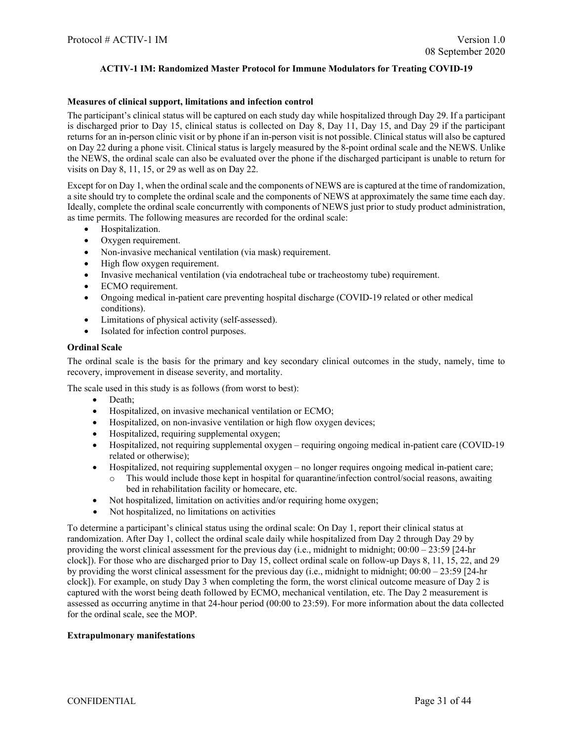#### **Measures of clinical support, limitations and infection control**

The participant's clinical status will be captured on each study day while hospitalized through Day 29. If a participant is discharged prior to Day 15, clinical status is collected on Day 8, Day 11, Day 15, and Day 29 if the participant returns for an in-person clinic visit or by phone if an in-person visit is not possible. Clinical status will also be captured on Day 22 during a phone visit. Clinical status is largely measured by the 8-point ordinal scale and the NEWS. Unlike the NEWS, the ordinal scale can also be evaluated over the phone if the discharged participant is unable to return for visits on Day 8, 11, 15, or 29 as well as on Day 22.

Except for on Day 1, when the ordinal scale and the components of NEWS are is captured at the time of randomization, a site should try to complete the ordinal scale and the components of NEWS at approximately the same time each day. Ideally, complete the ordinal scale concurrently with components of NEWS just prior to study product administration, as time permits. The following measures are recorded for the ordinal scale:

- Hospitalization.
- Oxygen requirement.
- Non-invasive mechanical ventilation (via mask) requirement.
- High flow oxygen requirement.
- Invasive mechanical ventilation (via endotracheal tube or tracheostomy tube) requirement.
- ECMO requirement.
- Ongoing medical in-patient care preventing hospital discharge (COVID-19 related or other medical conditions).
- Limitations of physical activity (self-assessed).
- Isolated for infection control purposes.

#### **Ordinal Scale**

The ordinal scale is the basis for the primary and key secondary clinical outcomes in the study, namely, time to recovery, improvement in disease severity, and mortality.

The scale used in this study is as follows (from worst to best):

- Death;
- Hospitalized, on invasive mechanical ventilation or ECMO;
- Hospitalized, on non-invasive ventilation or high flow oxygen devices;
- Hospitalized, requiring supplemental oxygen;
- Hospitalized, not requiring supplemental oxygen requiring ongoing medical in-patient care (COVID-19) related or otherwise);
- Hospitalized, not requiring supplemental oxygen no longer requires ongoing medical in-patient care;
	- This would include those kept in hospital for quarantine/infection control/social reasons, awaiting bed in rehabilitation facility or homecare, etc.
- Not hospitalized, limitation on activities and/or requiring home oxygen;
- Not hospitalized, no limitations on activities

To determine a participant's clinical status using the ordinal scale: On Day 1, report their clinical status at randomization. After Day 1, collect the ordinal scale daily while hospitalized from Day 2 through Day 29 by providing the worst clinical assessment for the previous day (i.e., midnight to midnight; 00:00 – 23:59 [24-hr clock]). For those who are discharged prior to Day 15, collect ordinal scale on follow-up Days 8, 11, 15, 22, and 29 by providing the worst clinical assessment for the previous day (i.e., midnight to midnight; 00:00 – 23:59 [24-hr clock]). For example, on study Day 3 when completing the form, the worst clinical outcome measure of Day 2 is captured with the worst being death followed by ECMO, mechanical ventilation, etc. The Day 2 measurement is assessed as occurring anytime in that 24-hour period (00:00 to 23:59). For more information about the data collected for the ordinal scale, see the MOP.

#### **Extrapulmonary manifestations**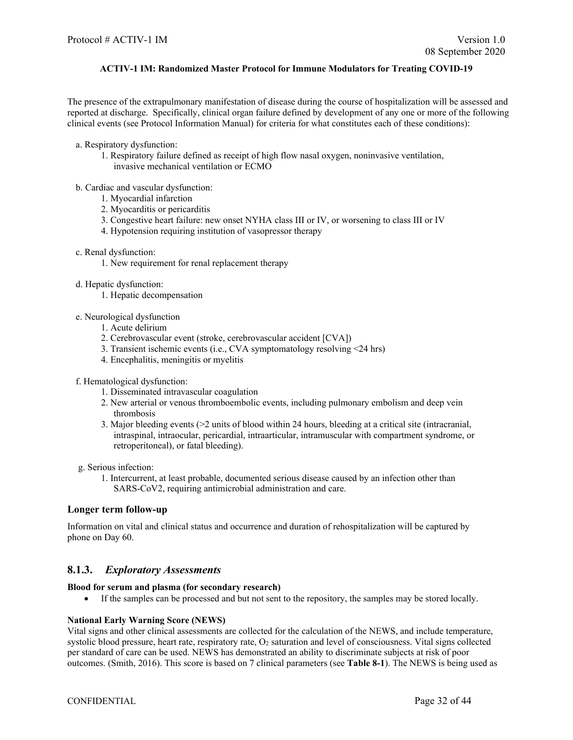The presence of the extrapulmonary manifestation of disease during the course of hospitalization will be assessed and reported at discharge. Specifically, clinical organ failure defined by development of any one or more of the following clinical events (see Protocol Information Manual) for criteria for what constitutes each of these conditions):

- a. Respiratory dysfunction:
	- 1. Respiratory failure defined as receipt of high flow nasal oxygen, noninvasive ventilation, invasive mechanical ventilation or ECMO

#### b. Cardiac and vascular dysfunction:

- 1. Myocardial infarction
- 2. Myocarditis or pericarditis
- 3. Congestive heart failure: new onset NYHA class III or IV, or worsening to class III or IV
- 4. Hypotension requiring institution of vasopressor therapy
- c. Renal dysfunction:
	- 1. New requirement for renal replacement therapy
- d. Hepatic dysfunction:
	- 1. Hepatic decompensation
- e. Neurological dysfunction
	- 1. Acute delirium
	- 2. Cerebrovascular event (stroke, cerebrovascular accident [CVA])
	- 3. Transient ischemic events (i.e., CVA symptomatology resolving <24 hrs)
	- 4. Encephalitis, meningitis or myelitis
- f. Hematological dysfunction:
	- 1. Disseminated intravascular coagulation
	- 2. New arterial or venous thromboembolic events, including pulmonary embolism and deep vein thrombosis
	- 3. Major bleeding events (>2 units of blood within 24 hours, bleeding at a critical site (intracranial, intraspinal, intraocular, pericardial, intraarticular, intramuscular with compartment syndrome, or retroperitoneal), or fatal bleeding).

g. Serious infection:

1. Intercurrent, at least probable, documented serious disease caused by an infection other than SARS-CoV2, requiring antimicrobial administration and care.

#### **Longer term follow-up**

Information on vital and clinical status and occurrence and duration of rehospitalization will be captured by phone on Day 60.

## <span id="page-31-0"></span>**8.1.3.** *Exploratory Assessments*

#### **Blood for serum and plasma (for secondary research)**

• If the samples can be processed and but not sent to the repository, the samples may be stored locally.

#### **National Early Warning Score (NEWS)**

Vital signs and other clinical assessments are collected for the calculation of the NEWS, and include temperature, systolic blood pressure, heart rate, respiratory rate,  $O<sub>2</sub>$  saturation and level of consciousness. Vital signs collected per standard of care can be used. NEWS has demonstrated an ability to discriminate subjects at risk of poor outcomes. (Smith, 2016). This score is based on 7 clinical parameters (see **Table 8-1**). The NEWS is being used as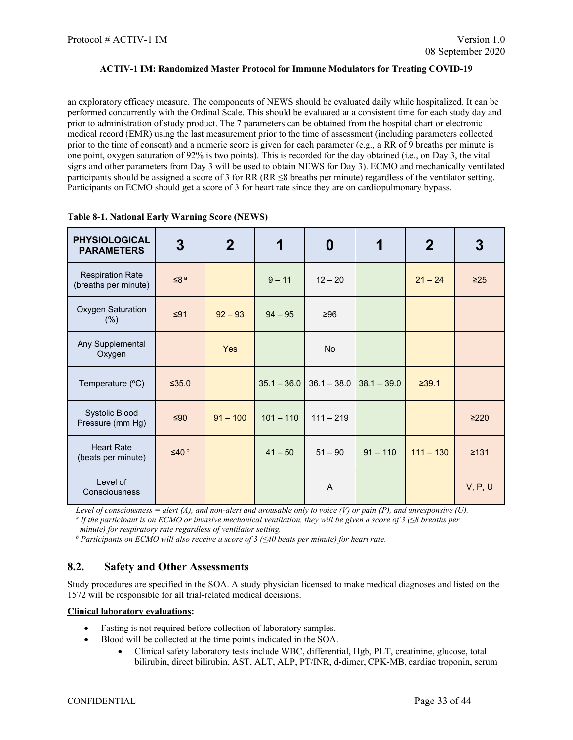an exploratory efficacy measure. The components of NEWS should be evaluated daily while hospitalized. It can be performed concurrently with the Ordinal Scale. This should be evaluated at a consistent time for each study day and prior to administration of study product. The 7 parameters can be obtained from the hospital chart or electronic medical record (EMR) using the last measurement prior to the time of assessment (including parameters collected prior to the time of consent) and a numeric score is given for each parameter (e.g., a RR of 9 breaths per minute is one point, oxygen saturation of 92% is two points). This is recorded for the day obtained (i.e., on Day 3, the vital signs and other parameters from Day 3 will be used to obtain NEWS for Day 3). ECMO and mechanically ventilated participants should be assigned a score of 3 for RR (RR  $\leq$ 8 breaths per minute) regardless of the ventilator setting. Participants on ECMO should get a score of 3 for heart rate since they are on cardiopulmonary bypass.

| <b>PHYSIOLOGICAL</b><br><b>PARAMETERS</b>       | 3                      | $\mathbf 2$ | 1             | $\boldsymbol{0}$ | 1             | $\mathbf 2$ | 3          |
|-------------------------------------------------|------------------------|-------------|---------------|------------------|---------------|-------------|------------|
| <b>Respiration Rate</b><br>(breaths per minute) | $≤8a$                  |             | $9 - 11$      | $12 - 20$        |               | $21 - 24$   | $\geq$ 25  |
| <b>Oxygen Saturation</b><br>(% )                | $≤91$                  | $92 - 93$   | $94 - 95$     | ≥96              |               |             |            |
| Any Supplemental<br>Oxygen                      |                        | Yes         |               | <b>No</b>        |               |             |            |
| Temperature (°C)                                | $\leq$ 35.0            |             | $35.1 - 36.0$ | $36.1 - 38.0$    | $38.1 - 39.0$ | ≥39.1       |            |
| <b>Systolic Blood</b><br>Pressure (mm Hg)       | $≤90$                  | $91 - 100$  | $101 - 110$   | $111 - 219$      |               |             | >220       |
| <b>Heart Rate</b><br>(beats per minute)         | $\leq$ 40 <sup>b</sup> |             | $41 - 50$     | $51 - 90$        | $91 - 110$    | $111 - 130$ | $\geq 131$ |
| Level of<br>Consciousness                       |                        |             |               | A                |               |             | V, P, U    |

| Table 8-1. National Early Warning Score (NEWS) |  |  |
|------------------------------------------------|--|--|
|------------------------------------------------|--|--|

Level of consciousness = alert (A), and non-alert and arousable only to voice (V) or pain (P), and unresponsive (U).<br>
<sup>a</sup> If the participant is on ECMO or invasive mechanical ventilation, they will be given a score of 3 (

*minute) for respiratory rate regardless of ventilator setting. b Participants on ECMO will also receive a score of 3 (≤40 beats per minute) for heart rate.*

## <span id="page-32-0"></span>**8.2. Safety and Other Assessments**

Study procedures are specified in the SOA. A study physician licensed to make medical diagnoses and listed on the 1572 will be responsible for all trial-related medical decisions.

#### **Clinical laboratory evaluations:**

- Fasting is not required before collection of laboratory samples.
- Blood will be collected at the time points indicated in the SOA.
	- Clinical safety laboratory tests include WBC, differential, Hgb, PLT, creatinine, glucose, total bilirubin, direct bilirubin, AST, ALT, ALP, PT/INR, d-dimer, CPK-MB, cardiac troponin, serum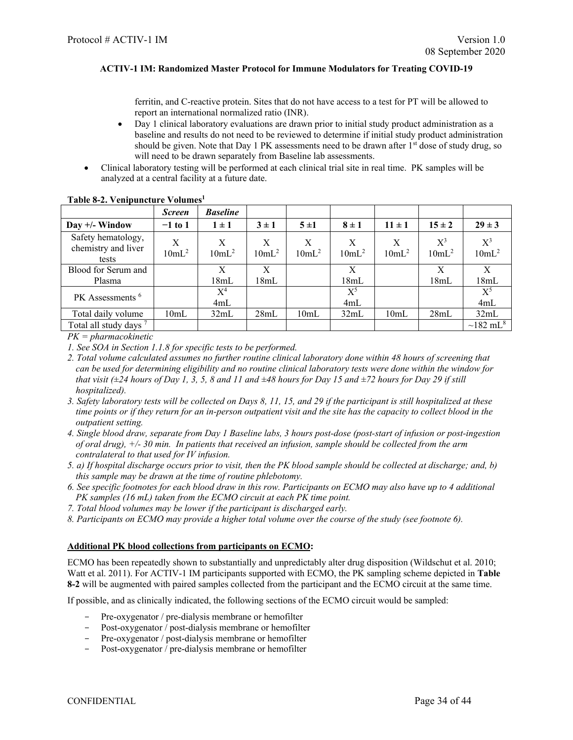ferritin, and C-reactive protein. Sites that do not have access to a test for PT will be allowed to report an international normalized ratio (INR).

- Day 1 clinical laboratory evaluations are drawn prior to initial study product administration as a baseline and results do not need to be reviewed to determine if initial study product administration should be given. Note that Day 1 PK assessments need to be drawn after 1<sup>st</sup> dose of study drug, so will need to be drawn separately from Baseline lab assessments.
- Clinical laboratory testing will be performed at each clinical trial site in real time. PK samples will be analyzed at a central facility at a future date.

|                                                    | <b>Screen</b> | <b>Baseline</b> |               |               |                          |               |                   |                            |
|----------------------------------------------------|---------------|-----------------|---------------|---------------|--------------------------|---------------|-------------------|----------------------------|
| Day $+/-$ Window                                   | $-1$ to 1     | $1 \pm 1$       | $3 \pm 1$     | 5±1           | $8 \pm 1$                | $11 \pm 1$    | $15 \pm 2$        | $29 \pm 3$                 |
| Safety hematology,<br>chemistry and liver<br>tests | X<br>$10mL^2$ | X<br>$10mL^2$   | X<br>$10mL^2$ | X<br>$10mL^2$ | $\mathbf{X}$<br>$10mL^2$ | X<br>$10mL^2$ | $X^3$<br>$10mL^2$ | $X^3$<br>$10mL^2$          |
| Blood for Serum and<br>Plasma                      |               | X<br>18mL       | X<br>18mL     |               | X<br>18mL                |               | X<br>18mL         | X<br>18mL                  |
| PK Assessments <sup>6</sup>                        |               | $X^4$<br>4mL    |               |               | $X^5$<br>4mL             |               |                   | $X^5$<br>4mL               |
| Total daily volume                                 | 10mL          | 32mL            | 28mL          | 10mL          | 32mL                     | 10mL          | 28mL              | 32mL                       |
| Total all study days <sup>7</sup>                  |               |                 |               |               |                          |               |                   | $\sim$ 182 mL <sup>8</sup> |

#### **Table 8-2. Venipuncture Volumes1**

*PK = pharmacokinetic*

*1. See SOA in Section [1.1.8](#page-12-0) for specific tests to be performed.*

- *2. Total volume calculated assumes no further routine clinical laboratory done within 48 hours of screening that can be used for determining eligibility and no routine clinical laboratory tests were done within the window for that visit (±24 hours of Day 1, 3, 5, 8 and 11 and ±48 hours for Day 15 and ±72 hours for Day 29 if still hospitalized).*
- *3. Safety laboratory tests will be collected on Days 8, 11, 15, and 29 if the participant is still hospitalized at these time points or if they return for an in-person outpatient visit and the site has the capacity to collect blood in the outpatient setting.*
- *4. Single blood draw, separate from Day 1 Baseline labs, 3 hours post-dose (post-start of infusion or post-ingestion of oral drug), +/- 30 min. In patients that received an infusion, sample should be collected from the arm contralateral to that used for IV infusion.*
- *5. a) If hospital discharge occurs prior to visit, then the PK blood sample should be collected at discharge; and, b) this sample may be drawn at the time of routine phlebotomy.*
- *6. See specific footnotes for each blood draw in this row. Participants on ECMO may also have up to 4 additional PK samples (16 mL) taken from the ECMO circuit at each PK time point.*
- *7. Total blood volumes may be lower if the participant is discharged early.*
- *8. Participants on ECMO may provide a higher total volume over the course of the study (see footnote 6).*

#### **Additional PK blood collections from participants on ECMO:**

ECMO has been repeatedly shown to substantially and unpredictably alter drug disposition (Wildschut et al. 2010; Watt et al. 2011). For ACTIV-1 IM participants supported with ECMO, the PK sampling scheme depicted in **Table 8-2** will be augmented with paired samples collected from the participant and the ECMO circuit at the same time.

If possible, and as clinically indicated, the following sections of the ECMO circuit would be sampled:

- Pre-oxygenator / pre-dialysis membrane or hemofilter
- Post-oxygenator / post-dialysis membrane or hemofilter
- Pre-oxygenator / post-dialysis membrane or hemofilter
- Post-oxygenator / pre-dialysis membrane or hemofilter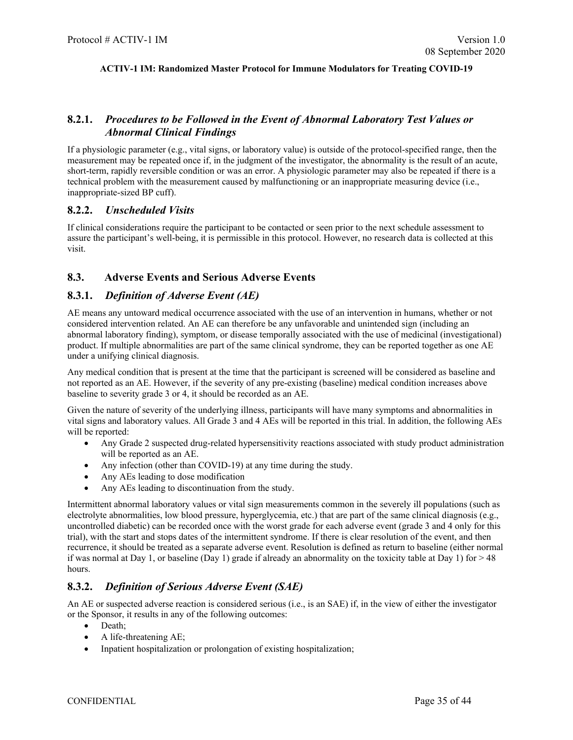## <span id="page-34-0"></span>**8.2.1.** *Procedures to be Followed in the Event of Abnormal Laboratory Test Values or Abnormal Clinical Findings*

If a physiologic parameter (e.g., vital signs, or laboratory value) is outside of the protocol-specified range, then the measurement may be repeated once if, in the judgment of the investigator, the abnormality is the result of an acute, short-term, rapidly reversible condition or was an error. A physiologic parameter may also be repeated if there is a technical problem with the measurement caused by malfunctioning or an inappropriate measuring device (i.e., inappropriate-sized BP cuff).

### <span id="page-34-1"></span>**8.2.2.** *Unscheduled Visits*

If clinical considerations require the participant to be contacted or seen prior to the next schedule assessment to assure the participant's well-being, it is permissible in this protocol. However, no research data is collected at this visit.

## <span id="page-34-2"></span>**8.3. Adverse Events and Serious Adverse Events**

### <span id="page-34-3"></span>**8.3.1.** *Definition of Adverse Event (AE)*

AE means any untoward medical occurrence associated with the use of an intervention in humans, whether or not considered intervention related. An AE can therefore be any unfavorable and unintended sign (including an abnormal laboratory finding), symptom, or disease temporally associated with the use of medicinal (investigational) product. If multiple abnormalities are part of the same clinical syndrome, they can be reported together as one AE under a unifying clinical diagnosis.

Any medical condition that is present at the time that the participant is screened will be considered as baseline and not reported as an AE. However, if the severity of any pre-existing (baseline) medical condition increases above baseline to severity grade 3 or 4, it should be recorded as an AE.

Given the nature of severity of the underlying illness, participants will have many symptoms and abnormalities in vital signs and laboratory values. All Grade 3 and 4 AEs will be reported in this trial. In addition, the following AEs will be reported:

- Any Grade 2 suspected drug-related hypersensitivity reactions associated with study product administration will be reported as an AE.
- Any infection (other than COVID-19) at any time during the study.
- Any AEs leading to dose modification
- Any AEs leading to discontinuation from the study.

Intermittent abnormal laboratory values or vital sign measurements common in the severely ill populations (such as electrolyte abnormalities, low blood pressure, hyperglycemia, etc.) that are part of the same clinical diagnosis (e.g., uncontrolled diabetic) can be recorded once with the worst grade for each adverse event (grade 3 and 4 only for this trial), with the start and stops dates of the intermittent syndrome. If there is clear resolution of the event, and then recurrence, it should be treated as a separate adverse event. Resolution is defined as return to baseline (either normal if was normal at Day 1, or baseline (Day 1) grade if already an abnormality on the toxicity table at Day 1) for  $> 48$ hours.

## <span id="page-34-4"></span>**8.3.2.** *Definition of Serious Adverse Event (SAE)*

An AE or suspected adverse reaction is considered serious (i.e., is an SAE) if, in the view of either the investigator or the Sponsor, it results in any of the following outcomes:

- Death;
- A life-threatening AE;
- Inpatient hospitalization or prolongation of existing hospitalization;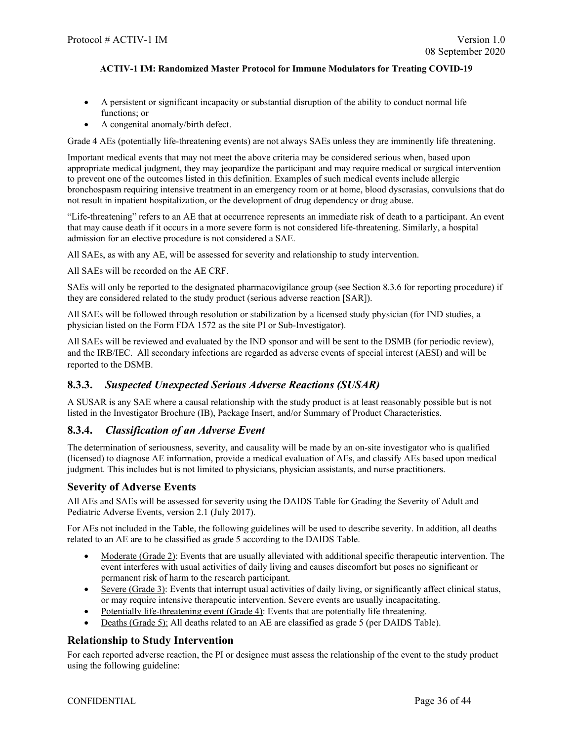- A persistent or significant incapacity or substantial disruption of the ability to conduct normal life functions; or
- A congenital anomaly/birth defect.

Grade 4 AEs (potentially life-threatening events) are not always SAEs unless they are imminently life threatening.

Important medical events that may not meet the above criteria may be considered serious when, based upon appropriate medical judgment, they may jeopardize the participant and may require medical or surgical intervention to prevent one of the outcomes listed in this definition. Examples of such medical events include allergic bronchospasm requiring intensive treatment in an emergency room or at home, blood dyscrasias, convulsions that do not result in inpatient hospitalization, or the development of drug dependency or drug abuse.

"Life-threatening" refers to an AE that at occurrence represents an immediate risk of death to a participant. An event that may cause death if it occurs in a more severe form is not considered life-threatening. Similarly, a hospital admission for an elective procedure is not considered a SAE.

All SAEs, as with any AE, will be assessed for severity and relationship to study intervention.

All SAEs will be recorded on the AE CRF.

SAEs will only be reported to the designated pharmacovigilance group (see Section [8.3.6](#page-36-1) for reporting procedure) if they are considered related to the study product (serious adverse reaction [SAR]).

All SAEs will be followed through resolution or stabilization by a licensed study physician (for IND studies, a physician listed on the Form FDA 1572 as the site PI or Sub-Investigator).

All SAEs will be reviewed and evaluated by the IND sponsor and will be sent to the DSMB (for periodic review), and the IRB/IEC. All secondary infections are regarded as adverse events of special interest (AESI) and will be reported to the DSMB.

## <span id="page-35-0"></span>**8.3.3.** *Suspected Unexpected Serious Adverse Reactions (SUSAR)*

A SUSAR is any SAE where a causal relationship with the study product is at least reasonably possible but is not listed in the Investigator Brochure (IB), Package Insert, and/or Summary of Product Characteristics.

#### <span id="page-35-1"></span>**8.3.4.** *Classification of an Adverse Event*

The determination of seriousness, severity, and causality will be made by an on-site investigator who is qualified (licensed) to diagnose AE information, provide a medical evaluation of AEs, and classify AEs based upon medical judgment. This includes but is not limited to physicians, physician assistants, and nurse practitioners.

## **Severity of Adverse Events**

All AEs and SAEs will be assessed for severity using the DAIDS Table for Grading the Severity of Adult and Pediatric Adverse Events, version 2.1 (July 2017).

For AEs not included in the Table, the following guidelines will be used to describe severity. In addition, all deaths related to an AE are to be classified as grade 5 according to the DAIDS Table.

- Moderate (Grade 2): Events that are usually alleviated with additional specific therapeutic intervention. The event interferes with usual activities of daily living and causes discomfort but poses no significant or permanent risk of harm to the research participant.
- Severe (Grade 3): Events that interrupt usual activities of daily living, or significantly affect clinical status, or may require intensive therapeutic intervention. Severe events are usually incapacitating.
- Potentially life-threatening event (Grade 4): Events that are potentially life threatening.
- Deaths (Grade 5): All deaths related to an AE are classified as grade 5 (per DAIDS Table).

## **Relationship to Study Intervention**

For each reported adverse reaction, the PI or designee must assess the relationship of the event to the study product using the following guideline: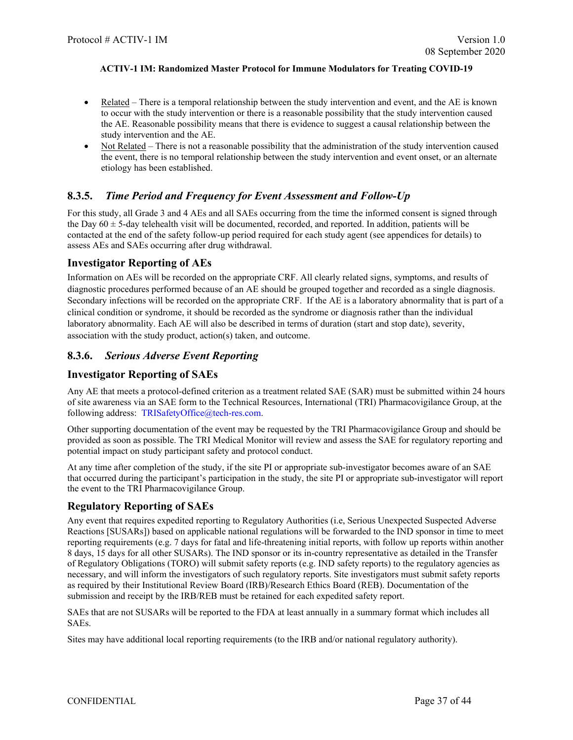- Related There is a temporal relationship between the study intervention and event, and the AE is known to occur with the study intervention or there is a reasonable possibility that the study intervention caused the AE. Reasonable possibility means that there is evidence to suggest a causal relationship between the study intervention and the AE.
- Not Related There is not a reasonable possibility that the administration of the study intervention caused the event, there is no temporal relationship between the study intervention and event onset, or an alternate etiology has been established.

## <span id="page-36-0"></span>**8.3.5.** *Time Period and Frequency for Event Assessment and Follow-Up*

For this study, all Grade 3 and 4 AEs and all SAEs occurring from the time the informed consent is signed through the Day  $60 \pm 5$ -day telehealth visit will be documented, recorded, and reported. In addition, patients will be contacted at the end of the safety follow-up period required for each study agent (see appendices for details) to assess AEs and SAEs occurring after drug withdrawal.

## **Investigator Reporting of AEs**

Information on AEs will be recorded on the appropriate CRF. All clearly related signs, symptoms, and results of diagnostic procedures performed because of an AE should be grouped together and recorded as a single diagnosis. Secondary infections will be recorded on the appropriate CRF. If the AE is a laboratory abnormality that is part of a clinical condition or syndrome, it should be recorded as the syndrome or diagnosis rather than the individual laboratory abnormality. Each AE will also be described in terms of duration (start and stop date), severity, association with the study product, action(s) taken, and outcome.

## <span id="page-36-1"></span>**8.3.6.** *Serious Adverse Event Reporting*

## **Investigator Reporting of SAEs**

Any AE that meets a protocol-defined criterion as a treatment related SAE (SAR) must be submitted within 24 hours of site awareness via an SAE form to the Technical Resources, International (TRI) Pharmacovigilance Group, at the following address: [TRISafetyOffice@tech-res.com.](mailto:TRISafetyOffice@tech-res.com)

Other supporting documentation of the event may be requested by the TRI Pharmacovigilance Group and should be provided as soon as possible. The TRI Medical Monitor will review and assess the SAE for regulatory reporting and potential impact on study participant safety and protocol conduct.

At any time after completion of the study, if the site PI or appropriate sub-investigator becomes aware of an SAE that occurred during the participant's participation in the study, the site PI or appropriate sub-investigator will report the event to the TRI Pharmacovigilance Group.

## **Regulatory Reporting of SAEs**

Any event that requires expedited reporting to Regulatory Authorities (i.e, Serious Unexpected Suspected Adverse Reactions [SUSARs]) based on applicable national regulations will be forwarded to the IND sponsor in time to meet reporting requirements (e.g. 7 days for fatal and life-threatening initial reports, with follow up reports within another 8 days, 15 days for all other SUSARs). The IND sponsor or its in-country representative as detailed in the Transfer of Regulatory Obligations (TORO) will submit safety reports (e.g. IND safety reports) to the regulatory agencies as necessary, and will inform the investigators of such regulatory reports. Site investigators must submit safety reports as required by their Institutional Review Board (IRB)/Research Ethics Board (REB). Documentation of the submission and receipt by the IRB/REB must be retained for each expedited safety report.

SAEs that are not SUSARs will be reported to the FDA at least annually in a summary format which includes all SAEs.

Sites may have additional local reporting requirements (to the IRB and/or national regulatory authority).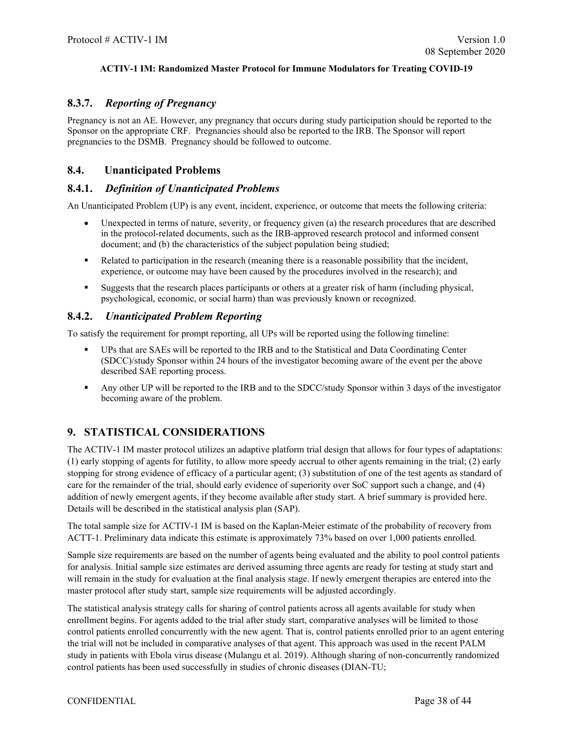## <span id="page-37-0"></span>**8.3.7.** *Reporting of Pregnancy*

Pregnancy is not an AE. However, any pregnancy that occurs during study participation should be reported to the Sponsor on the appropriate CRF. Pregnancies should also be reported to the IRB. The Sponsor will report pregnancies to the DSMB. Pregnancy should be followed to outcome.

## <span id="page-37-1"></span>**8.4. Unanticipated Problems**

## <span id="page-37-2"></span>**8.4.1.** *Definition of Unanticipated Problems*

An Unanticipated Problem (UP) is any event, incident, experience, or outcome that meets the following criteria:

- Unexpected in terms of nature, severity, or frequency given (a) the research procedures that are described in the protocol-related documents, such as the IRB-approved research protocol and informed consent document; and (b) the characteristics of the subject population being studied;
- Related to participation in the research (meaning there is a reasonable possibility that the incident, experience, or outcome may have been caused by the procedures involved in the research); and
- Suggests that the research places participants or others at a greater risk of harm (including physical, psychological, economic, or social harm) than was previously known or recognized.

## <span id="page-37-3"></span>**8.4.2.** *Unanticipated Problem Reporting*

To satisfy the requirement for prompt reporting, all UPs will be reported using the following timeline:

- UPs that are SAEs will be reported to the IRB and to the Statistical and Data Coordinating Center (SDCC)/study Sponsor within 24 hours of the investigator becoming aware of the event per the above described SAE reporting process.
- Any other UP will be reported to the IRB and to the SDCC/study Sponsor within 3 days of the investigator becoming aware of the problem.

## <span id="page-37-4"></span>**9. STATISTICAL CONSIDERATIONS**

The ACTIV-1 IM master protocol utilizes an adaptive platform trial design that allows for four types of adaptations: (1) early stopping of agents for futility, to allow more speedy accrual to other agents remaining in the trial; (2) early stopping for strong evidence of efficacy of a particular agent; (3) substitution of one of the test agents as standard of care for the remainder of the trial, should early evidence of superiority over SoC support such a change, and (4) addition of newly emergent agents, if they become available after study start. A brief summary is provided here. Details will be described in the statistical analysis plan (SAP).

The total sample size for ACTIV-1 IM is based on the Kaplan-Meier estimate of the probability of recovery from ACTT-1. Preliminary data indicate this estimate is approximately 73% based on over 1,000 patients enrolled.

Sample size requirements are based on the number of agents being evaluated and the ability to pool control patients for analysis. Initial sample size estimates are derived assuming three agents are ready for testing at study start and will remain in the study for evaluation at the final analysis stage. If newly emergent therapies are entered into the master protocol after study start, sample size requirements will be adjusted accordingly.

The statistical analysis strategy calls for sharing of control patients across all agents available for study when enrollment begins. For agents added to the trial after study start, comparative analyses will be limited to those control patients enrolled concurrently with the new agent. That is, control patients enrolled prior to an agent entering the trial will not be included in comparative analyses of that agent. This approach was used in the recent PALM study in patients with Ebola virus disease (Mulangu et al. 2019). Although sharing of non-concurrently randomized control patients has been used successfully in studies of chronic diseases (DIAN-TU;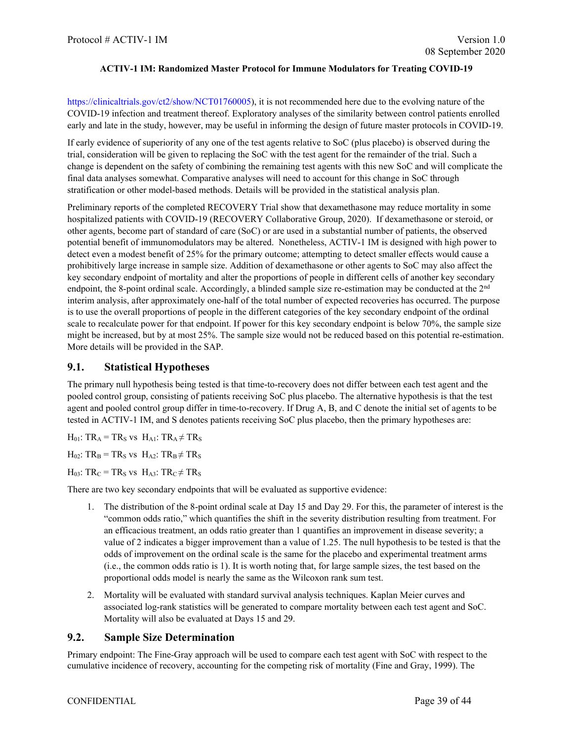https://clinicaltrials.gov/ct2/show/NCT01760005), it is not recommended here due to the evolving nature of the COVID-19 infection and treatment thereof. Exploratory analyses of the similarity between control patients enrolled early and late in the study, however, may be useful in informing the design of future master protocols in COVID-19.

If early evidence of superiority of any one of the test agents relative to SoC (plus placebo) is observed during the trial, consideration will be given to replacing the SoC with the test agent for the remainder of the trial. Such a change is dependent on the safety of combining the remaining test agents with this new SoC and will complicate the final data analyses somewhat. Comparative analyses will need to account for this change in SoC through stratification or other model-based methods. Details will be provided in the statistical analysis plan.

Preliminary reports of the completed RECOVERY Trial show that dexamethasone may reduce mortality in some hospitalized patients with COVID-19 (RECOVERY Collaborative Group, 2020). If dexamethasone or steroid, or other agents, become part of standard of care (SoC) or are used in a substantial number of patients, the observed potential benefit of immunomodulators may be altered. Nonetheless, ACTIV-1 IM is designed with high power to detect even a modest benefit of 25% for the primary outcome; attempting to detect smaller effects would cause a prohibitively large increase in sample size. Addition of dexamethasone or other agents to SoC may also affect the key secondary endpoint of mortality and alter the proportions of people in different cells of another key secondary endpoint, the 8-point ordinal scale. Accordingly, a blinded sample size re-estimation may be conducted at the 2<sup>nd</sup> interim analysis, after approximately one-half of the total number of expected recoveries has occurred. The purpose is to use the overall proportions of people in the different categories of the key secondary endpoint of the ordinal scale to recalculate power for that endpoint. If power for this key secondary endpoint is below 70%, the sample size might be increased, but by at most 25%. The sample size would not be reduced based on this potential re-estimation. More details will be provided in the SAP.

### <span id="page-38-0"></span>**9.1. Statistical Hypotheses**

The primary null hypothesis being tested is that time-to-recovery does not differ between each test agent and the pooled control group, consisting of patients receiving SoC plus placebo. The alternative hypothesis is that the test agent and pooled control group differ in time-to-recovery. If Drug A, B, and C denote the initial set of agents to be tested in ACTIV-1 IM, and S denotes patients receiving SoC plus placebo, then the primary hypotheses are:

 $H_{01}$ : TR<sub>A</sub> = TR<sub>S</sub> vs  $H_{A1}$ : TR<sub>A</sub>  $\neq$  TR<sub>S</sub>

 $H_{02}$ : TR<sub>B</sub> = TR<sub>S</sub> vs  $H_{A2}$ : TR<sub>B</sub>  $\neq$  TR<sub>S</sub>

 $H_{03}$ : TR<sub>C</sub> = TR<sub>S</sub> vs  $H_{A3}$ : TR<sub>C</sub>  $\neq$  TR<sub>S</sub>

There are two key secondary endpoints that will be evaluated as supportive evidence:

- 1. The distribution of the 8-point ordinal scale at Day 15 and Day 29. For this, the parameter of interest is the "common odds ratio," which quantifies the shift in the severity distribution resulting from treatment. For an efficacious treatment, an odds ratio greater than 1 quantifies an improvement in disease severity; a value of 2 indicates a bigger improvement than a value of 1.25. The null hypothesis to be tested is that the odds of improvement on the ordinal scale is the same for the placebo and experimental treatment arms (i.e., the common odds ratio is 1). It is worth noting that, for large sample sizes, the test based on the proportional odds model is nearly the same as the Wilcoxon rank sum test.
- 2. Mortality will be evaluated with standard survival analysis techniques. Kaplan Meier curves and associated log-rank statistics will be generated to compare mortality between each test agent and SoC. Mortality will also be evaluated at Days 15 and 29.

## <span id="page-38-1"></span>**9.2. Sample Size Determination**

Primary endpoint: The Fine-Gray approach will be used to compare each test agent with SoC with respect to the cumulative incidence of recovery, accounting for the competing risk of mortality (Fine and Gray, 1999). The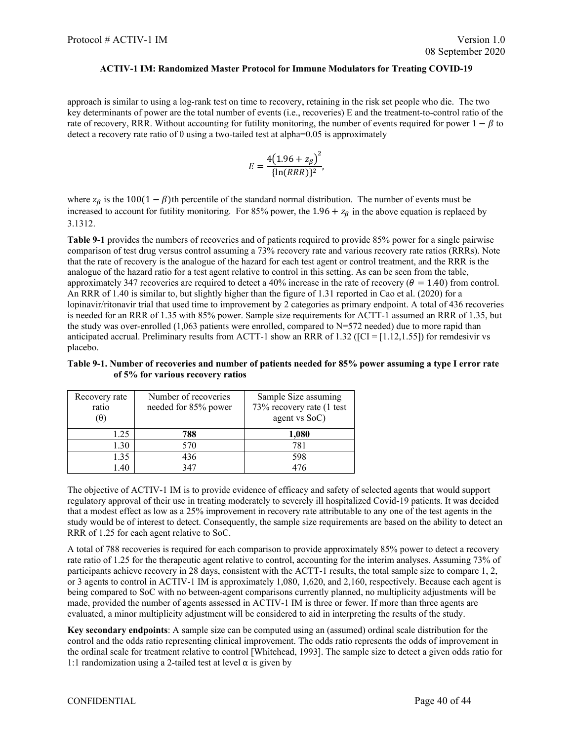approach is similar to using a log-rank test on time to recovery, retaining in the risk set people who die. The two key determinants of power are the total number of events (i.e., recoveries) E and the treatment-to-control ratio of the rate of recovery, RRR. Without accounting for futility monitoring, the number of events required for power  $1 - \beta$  to detect a recovery rate ratio of  $\theta$  using a two-tailed test at alpha=0.05 is approximately

$$
E = \frac{4(1.96 + z_{\beta})^2}{\{\ln(RRR)\}^2},
$$

where  $z_{\beta}$  is the 100(1 −  $\beta$ )th percentile of the standard normal distribution. The number of events must be increased to account for futility monitoring. For 85% power, the  $1.96 + z_\beta$  in the above equation is replaced by 3.1312.

**Table 9-1** provides the numbers of recoveries and of patients required to provide 85% power for a single pairwise comparison of test drug versus control assuming a 73% recovery rate and various recovery rate ratios (RRRs). Note that the rate of recovery is the analogue of the hazard for each test agent or control treatment, and the RRR is the analogue of the hazard ratio for a test agent relative to control in this setting. As can be seen from the table, approximately 347 recoveries are required to detect a 40% increase in the rate of recovery ( $\theta = 1.40$ ) from control. An RRR of 1.40 is similar to, but slightly higher than the figure of 1.31 reported in Cao et al. (2020) for a lopinavir/ritonavir trial that used time to improvement by 2 categories as primary endpoint. A total of 436 recoveries is needed for an RRR of 1.35 with 85% power. Sample size requirements for ACTT-1 assumed an RRR of 1.35, but the study was over-enrolled  $(1,063$  patients were enrolled, compared to N=572 needed) due to more rapid than anticipated accrual. Preliminary results from ACTT-1 show an RRR of 1.32 ([CI = [1.12,1.55]) for remdesivir vs placebo.

#### **Table 9-1. Number of recoveries and number of patients needed for 85% power assuming a type I error rate of 5% for various recovery ratios**

| Recovery rate | Number of recoveries | Sample Size assuming       |
|---------------|----------------------|----------------------------|
| ratio         | needed for 85% power | 73% recovery rate (1 test) |
| $(\theta)$    |                      | agent vs SoC)              |
| 1.25          | 788                  | 1,080                      |
| 1.30          | 570                  | 781                        |
| 1.35          | 436                  | 598                        |
| 40            | 347                  |                            |

The objective of ACTIV-1 IM is to provide evidence of efficacy and safety of selected agents that would support regulatory approval of their use in treating moderately to severely ill hospitalized Covid-19 patients. It was decided that a modest effect as low as a 25% improvement in recovery rate attributable to any one of the test agents in the study would be of interest to detect. Consequently, the sample size requirements are based on the ability to detect an RRR of 1.25 for each agent relative to SoC.

A total of 788 recoveries is required for each comparison to provide approximately 85% power to detect a recovery rate ratio of 1.25 for the therapeutic agent relative to control, accounting for the interim analyses. Assuming 73% of participants achieve recovery in 28 days, consistent with the ACTT-1 results, the total sample size to compare 1, 2, or 3 agents to control in ACTIV-1 IM is approximately 1,080, 1,620, and 2,160, respectively. Because each agent is being compared to SoC with no between-agent comparisons currently planned, no multiplicity adjustments will be made, provided the number of agents assessed in ACTIV-1 IM is three or fewer. If more than three agents are evaluated, a minor multiplicity adjustment will be considered to aid in interpreting the results of the study.

**Key secondary endpoints**: A sample size can be computed using an (assumed) ordinal scale distribution for the control and the odds ratio representing clinical improvement. The odds ratio represents the odds of improvement in the ordinal scale for treatment relative to control [Whitehead, 1993]. The sample size to detect a given odds ratio for 1:1 randomization using a 2-tailed test at level  $\alpha$  is given by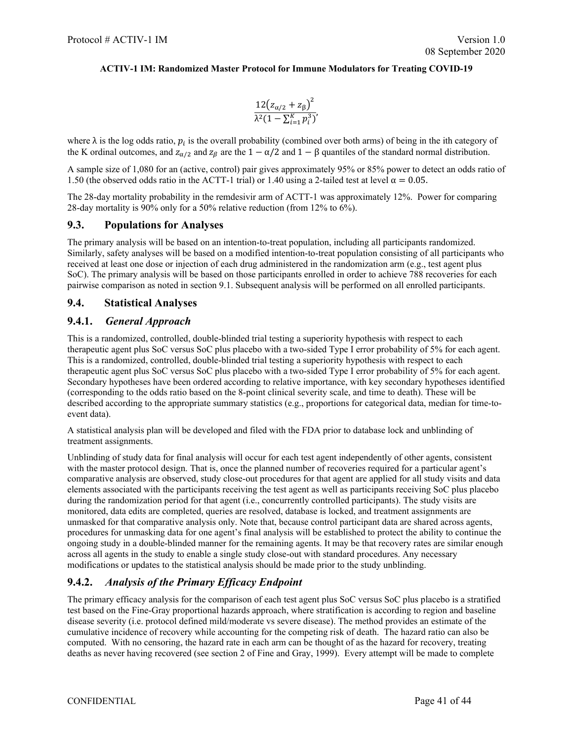$$
\frac{12(z_{\alpha/2} + z_{\beta})^2}{\lambda^2 (1 - \sum_{i=1}^K p_i^3)}
$$

where  $\lambda$  is the log odds ratio,  $p_i$  is the overall probability (combined over both arms) of being in the ith category of the K ordinal outcomes, and  $z_{\alpha/2}$  and  $z_{\beta}$  are the  $1 - \alpha/2$  and  $1 - \beta$  quantiles of the standard normal distribution.

A sample size of 1,080 for an (active, control) pair gives approximately 95% or 85% power to detect an odds ratio of 1.50 (the observed odds ratio in the ACTT-1 trial) or 1.40 using a 2-tailed test at level  $\alpha = 0.05$ .

The 28-day mortality probability in the remdesivir arm of ACTT-1 was approximately 12%. Power for comparing 28-day mortality is 90% only for a 50% relative reduction (from 12% to 6%).

### <span id="page-40-0"></span>**9.3. Populations for Analyses**

The primary analysis will be based on an intention-to-treat population, including all participants randomized. Similarly, safety analyses will be based on a modified intention-to-treat population consisting of all participants who received at least one dose or injection of each drug administered in the randomization arm (e.g., test agent plus SoC). The primary analysis will be based on those participants enrolled in order to achieve 788 recoveries for each pairwise comparison as noted in section 9.1. Subsequent analysis will be performed on all enrolled participants.

## <span id="page-40-1"></span>**9.4. Statistical Analyses**

## <span id="page-40-2"></span>**9.4.1.** *General Approach*

This is a randomized, controlled, double-blinded trial testing a superiority hypothesis with respect to each therapeutic agent plus SoC versus SoC plus placebo with a two-sided Type I error probability of 5% for each agent. This is a randomized, controlled, double-blinded trial testing a superiority hypothesis with respect to each therapeutic agent plus SoC versus SoC plus placebo with a two-sided Type I error probability of 5% for each agent. Secondary hypotheses have been ordered according to relative importance, with key secondary hypotheses identified (corresponding to the odds ratio based on the 8-point clinical severity scale, and time to death). These will be described according to the appropriate summary statistics (e.g., proportions for categorical data, median for time-toevent data).

A statistical analysis plan will be developed and filed with the FDA prior to database lock and unblinding of treatment assignments.

Unblinding of study data for final analysis will occur for each test agent independently of other agents, consistent with the master protocol design. That is, once the planned number of recoveries required for a particular agent's comparative analysis are observed, study close-out procedures for that agent are applied for all study visits and data elements associated with the participants receiving the test agent as well as participants receiving SoC plus placebo during the randomization period for that agent (i.e., concurrently controlled participants). The study visits are monitored, data edits are completed, queries are resolved, database is locked, and treatment assignments are unmasked for that comparative analysis only. Note that, because control participant data are shared across agents, procedures for unmasking data for one agent's final analysis will be established to protect the ability to continue the ongoing study in a double-blinded manner for the remaining agents. It may be that recovery rates are similar enough across all agents in the study to enable a single study close-out with standard procedures. Any necessary modifications or updates to the statistical analysis should be made prior to the study unblinding.

## <span id="page-40-3"></span>**9.4.2.** *Analysis of the Primary Efficacy Endpoint*

The primary efficacy analysis for the comparison of each test agent plus SoC versus SoC plus placebo is a stratified test based on the Fine-Gray proportional hazards approach, where stratification is according to region and baseline disease severity (i.e. protocol defined mild/moderate vs severe disease). The method provides an estimate of the cumulative incidence of recovery while accounting for the competing risk of death. The hazard ratio can also be computed. With no censoring, the hazard rate in each arm can be thought of as the hazard for recovery, treating deaths as never having recovered (see section 2 of Fine and Gray, 1999). Every attempt will be made to complete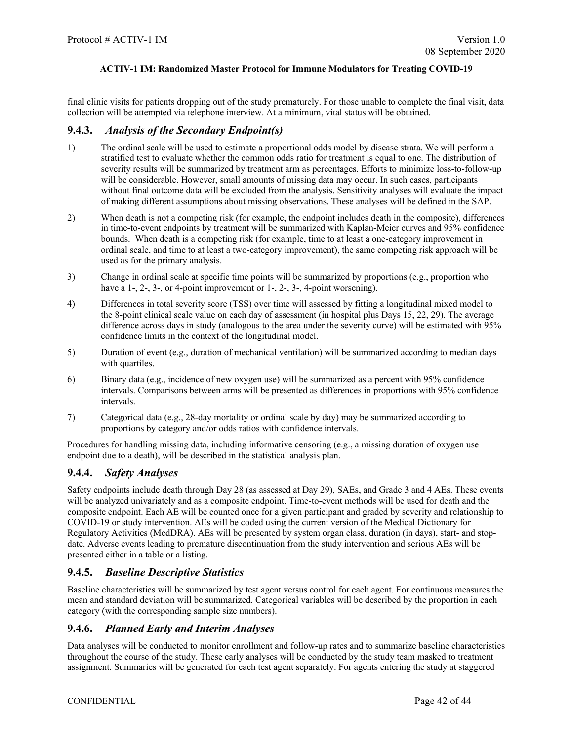final clinic visits for patients dropping out of the study prematurely. For those unable to complete the final visit, data collection will be attempted via telephone interview. At a minimum, vital status will be obtained.

#### <span id="page-41-0"></span>**9.4.3.** *Analysis of the Secondary Endpoint(s)*

- 1) The ordinal scale will be used to estimate a proportional odds model by disease strata. We will perform a stratified test to evaluate whether the common odds ratio for treatment is equal to one. The distribution of severity results will be summarized by treatment arm as percentages. Efforts to minimize loss-to-follow-up will be considerable. However, small amounts of missing data may occur. In such cases, participants without final outcome data will be excluded from the analysis. Sensitivity analyses will evaluate the impact of making different assumptions about missing observations. These analyses will be defined in the SAP.
- 2) When death is not a competing risk (for example, the endpoint includes death in the composite), differences in time-to-event endpoints by treatment will be summarized with Kaplan-Meier curves and 95% confidence bounds. When death is a competing risk (for example, time to at least a one-category improvement in ordinal scale, and time to at least a two-category improvement), the same competing risk approach will be used as for the primary analysis.
- 3) Change in ordinal scale at specific time points will be summarized by proportions (e.g., proportion who have a 1-, 2-, 3-, or 4-point improvement or 1-, 2-, 3-, 4-point worsening).
- 4) Differences in total severity score (TSS) over time will assessed by fitting a longitudinal mixed model to the 8-point clinical scale value on each day of assessment (in hospital plus Days 15, 22, 29). The average difference across days in study (analogous to the area under the severity curve) will be estimated with 95% confidence limits in the context of the longitudinal model.
- 5) Duration of event (e.g., duration of mechanical ventilation) will be summarized according to median days with quartiles.
- 6) Binary data (e.g., incidence of new oxygen use) will be summarized as a percent with 95% confidence intervals. Comparisons between arms will be presented as differences in proportions with 95% confidence intervals.
- 7) Categorical data (e.g., 28-day mortality or ordinal scale by day) may be summarized according to proportions by category and/or odds ratios with confidence intervals.

Procedures for handling missing data, including informative censoring (e.g., a missing duration of oxygen use endpoint due to a death), will be described in the statistical analysis plan.

## <span id="page-41-1"></span>**9.4.4.** *Safety Analyses*

Safety endpoints include death through Day 28 (as assessed at Day 29), SAEs, and Grade 3 and 4 AEs. These events will be analyzed univariately and as a composite endpoint. Time-to-event methods will be used for death and the composite endpoint. Each AE will be counted once for a given participant and graded by severity and relationship to COVID-19 or study intervention. AEs will be coded using the current version of the Medical Dictionary for Regulatory Activities (MedDRA). AEs will be presented by system organ class, duration (in days), start- and stopdate. Adverse events leading to premature discontinuation from the study intervention and serious AEs will be presented either in a table or a listing.

## <span id="page-41-2"></span>**9.4.5.** *Baseline Descriptive Statistics*

Baseline characteristics will be summarized by test agent versus control for each agent. For continuous measures the mean and standard deviation will be summarized. Categorical variables will be described by the proportion in each category (with the corresponding sample size numbers).

## <span id="page-41-3"></span>**9.4.6.** *Planned Early and Interim Analyses*

Data analyses will be conducted to monitor enrollment and follow-up rates and to summarize baseline characteristics throughout the course of the study. These early analyses will be conducted by the study team masked to treatment assignment. Summaries will be generated for each test agent separately. For agents entering the study at staggered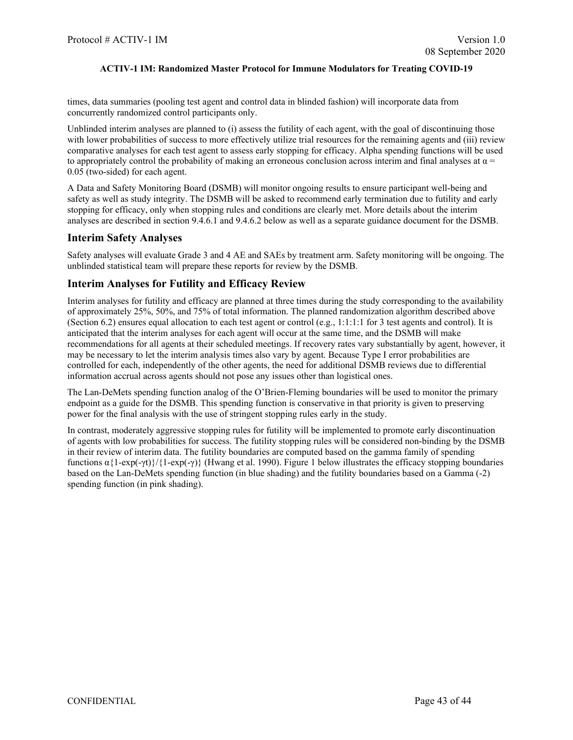times, data summaries (pooling test agent and control data in blinded fashion) will incorporate data from concurrently randomized control participants only.

Unblinded interim analyses are planned to (i) assess the futility of each agent, with the goal of discontinuing those with lower probabilities of success to more effectively utilize trial resources for the remaining agents and (iii) review comparative analyses for each test agent to assess early stopping for efficacy. Alpha spending functions will be used to appropriately control the probability of making an erroneous conclusion across interim and final analyses at  $\alpha$  = 0.05 (two-sided) for each agent.

A Data and Safety Monitoring Board (DSMB) will monitor ongoing results to ensure participant well-being and safety as well as study integrity. The DSMB will be asked to recommend early termination due to futility and early stopping for efficacy, only when stopping rules and conditions are clearly met. More details about the interim analyses are described in section 9.4.6.1 and 9.4.6.2 below as well as a separate guidance document for the DSMB.

## **Interim Safety Analyses**

Safety analyses will evaluate Grade 3 and 4 AE and SAEs by treatment arm. Safety monitoring will be ongoing. The unblinded statistical team will prepare these reports for review by the DSMB.

## **Interim Analyses for Futility and Efficacy Review**

Interim analyses for futility and efficacy are planned at three times during the study corresponding to the availability of approximately 25%, 50%, and 75% of total information. The planned randomization algorithm described above (Section 6.2) ensures equal allocation to each test agent or control (e.g.,  $1:1:1:1$  for 3 test agents and control). It is anticipated that the interim analyses for each agent will occur at the same time, and the DSMB will make recommendations for all agents at their scheduled meetings. If recovery rates vary substantially by agent, however, it may be necessary to let the interim analysis times also vary by agent. Because Type I error probabilities are controlled for each, independently of the other agents, the need for additional DSMB reviews due to differential information accrual across agents should not pose any issues other than logistical ones.

The Lan-DeMets spending function analog of the O'Brien-Fleming boundaries will be used to monitor the primary endpoint as a guide for the DSMB. This spending function is conservative in that priority is given to preserving power for the final analysis with the use of stringent stopping rules early in the study.

In contrast, moderately aggressive stopping rules for futility will be implemented to promote early discontinuation of agents with low probabilities for success. The futility stopping rules will be considered non-binding by the DSMB in their review of interim data. The futility boundaries are computed based on the gamma family of spending functions  $\alpha$ {1-exp(-γt)}/{1-exp(-γ)} (Hwang et al. 1990). Figure 1 below illustrates the efficacy stopping boundaries based on the Lan-DeMets spending function (in blue shading) and the futility boundaries based on a Gamma (-2) spending function (in pink shading).